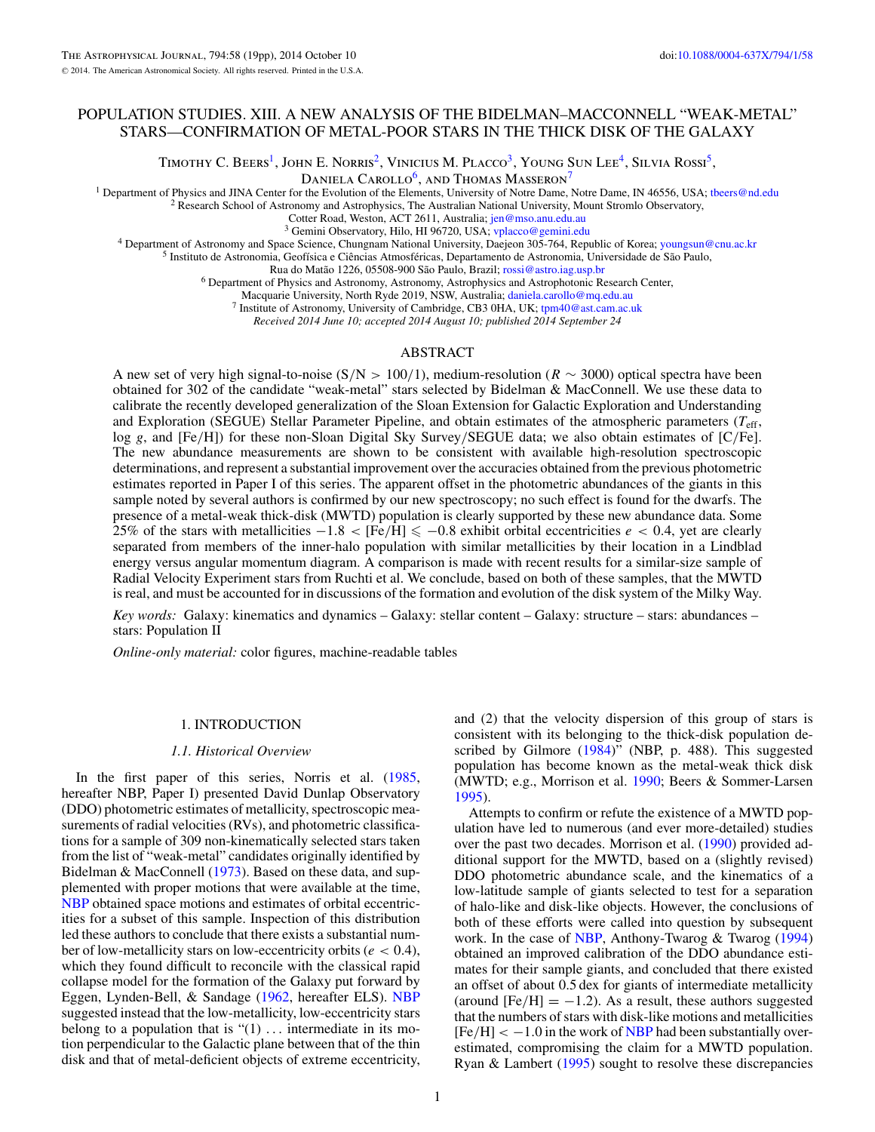# <span id="page-0-0"></span>POPULATION STUDIES. XIII. A NEW ANALYSIS OF THE BIDELMAN–MACCONNELL "WEAK-METAL" STARS—CONFIRMATION OF METAL-POOR STARS IN THE THICK DISK OF THE GALAXY

TIMOTHY C. BEERS<sup>1</sup>, JOHN E. NORRIS<sup>2</sup>, VINICIUS M. PLACCO<sup>3</sup>, YOUNG SUN LEE<sup>4</sup>, SILVIA ROSSI<sup>5</sup>,

DANIELA CAROLLO<sup>6</sup>, AND THOMAS MASSERON<sup>7</sup>

<sup>1</sup> Department of Physics and JINA Center for the Evolution of the Elements, University of Notre Dame, Notre Dame, IN 46556, USA; the ers @nd.edu <sup>2</sup> Research School of Astronomy and Astrophysics, The Australian National

<sup>3</sup> Gemini Observatory, Hilo, HI 96720, USA; [vplacco@gemini.edu](mailto:vplacco@gemini.edu)<br><sup>4</sup> Department of Astronomy and Space Science, Chungnam National University, Daejeon 305-764, Republic of Korea; [youngsun@cnu.ac.kr](mailto:youngsun@cnu.ac.kr)<br><sup>5</sup> Instituto de Astronom

<sup>6</sup> Department of Physics and Astronomy, Astronomy, Astrophysics and Astrophotonic Research Center,<br>Macquarie University, North Ryde 2019, NSW, Australia; daniela.carollo@mq.edu.au

<sup>7</sup> Institute of Astronomy, University of Cambridge, CB3 0HA, UK; [tpm40@ast.cam.ac.uk](mailto:tpm40@ast.cam.ac.uk)

*Received 2014 June 10; accepted 2014 August 10; published 2014 September 24*

## ABSTRACT

A new set of very high signal-to-noise (S*/*N *>* 100*/*1), medium-resolution (*R* ∼ 3000) optical spectra have been obtained for 302 of the candidate "weak-metal" stars selected by Bidelman & MacConnell. We use these data to calibrate the recently developed generalization of the Sloan Extension for Galactic Exploration and Understanding and Exploration (SEGUE) Stellar Parameter Pipeline, and obtain estimates of the atmospheric parameters (*T*eff, log *g*, and [Fe*/*H]) for these non-Sloan Digital Sky Survey*/*SEGUE data; we also obtain estimates of [C*/*Fe]. The new abundance measurements are shown to be consistent with available high-resolution spectroscopic determinations, and represent a substantial improvement over the accuracies obtained from the previous photometric estimates reported in Paper I of this series. The apparent offset in the photometric abundances of the giants in this sample noted by several authors is confirmed by our new spectroscopy; no such effect is found for the dwarfs. The presence of a metal-weak thick-disk (MWTD) population is clearly supported by these new abundance data. Some 25% of the stars with metallicities  $-1.8 <$  [Fe/H]  $\leq -0.8$  exhibit orbital eccentricities  $e < 0.4$ , yet are clearly separated from members of the inner-halo population with similar metallicities by their location in a Lindblad energy versus angular momentum diagram. A comparison is made with recent results for a similar-size sample of Radial Velocity Experiment stars from Ruchti et al. We conclude, based on both of these samples, that the MWTD is real, and must be accounted for in discussions of the formation and evolution of the disk system of the Milky Way.

*Key words:* Galaxy: kinematics and dynamics – Galaxy: stellar content – Galaxy: structure – stars: abundances – stars: Population II

*Online-only material:* color figures, machine-readable tables

## 1. INTRODUCTION

#### *1.1. Historical Overview*

In the first paper of this series, Norris et al. [\(1985,](#page-18-0) hereafter NBP, Paper I) presented David Dunlap Observatory (DDO) photometric estimates of metallicity, spectroscopic measurements of radial velocities (RVs), and photometric classifications for a sample of 309 non-kinematically selected stars taken from the list of "weak-metal" candidates originally identified by Bidelman & MacConnell [\(1973\)](#page-18-0). Based on these data, and supplemented with proper motions that were available at the time, [NBP](#page-18-0) obtained space motions and estimates of orbital eccentricities for a subset of this sample. Inspection of this distribution led these authors to conclude that there exists a substantial number of low-metallicity stars on low-eccentricity orbits (*e <* 0*.*4), which they found difficult to reconcile with the classical rapid collapse model for the formation of the Galaxy put forward by Eggen, Lynden-Bell, & Sandage [\(1962,](#page-18-0) hereafter ELS). [NBP](#page-18-0) suggested instead that the low-metallicity, low-eccentricity stars belong to a population that is "(1) *...* intermediate in its motion perpendicular to the Galactic plane between that of the thin disk and that of metal-deficient objects of extreme eccentricity,

and (2) that the velocity dispersion of this group of stars is consistent with its belonging to the thick-disk population described by Gilmore [\(1984\)](#page-18-0)" (NBP, p. 488). This suggested population has become known as the metal-weak thick disk (MWTD; e.g., Morrison et al. [1990;](#page-18-0) Beers & Sommer-Larsen [1995\)](#page-18-0).

Attempts to confirm or refute the existence of a MWTD population have led to numerous (and ever more-detailed) studies over the past two decades. Morrison et al. [\(1990\)](#page-18-0) provided additional support for the MWTD, based on a (slightly revised) DDO photometric abundance scale, and the kinematics of a low-latitude sample of giants selected to test for a separation of halo-like and disk-like objects. However, the conclusions of both of these efforts were called into question by subsequent work. In the case of [NBP,](#page-18-0) Anthony-Twarog & Twarog [\(1994\)](#page-18-0) obtained an improved calibration of the DDO abundance estimates for their sample giants, and concluded that there existed an offset of about 0.5 dex for giants of intermediate metallicity (around  $[Fe/H] = -1.2$ ). As a result, these authors suggested that the numbers of stars with disk-like motions and metallicities [Fe*/*H] *<* −1*.*0 in the work of [NBP](#page-18-0) had been substantially overestimated, compromising the claim for a MWTD population. Ryan & Lambert [\(1995\)](#page-18-0) sought to resolve these discrepancies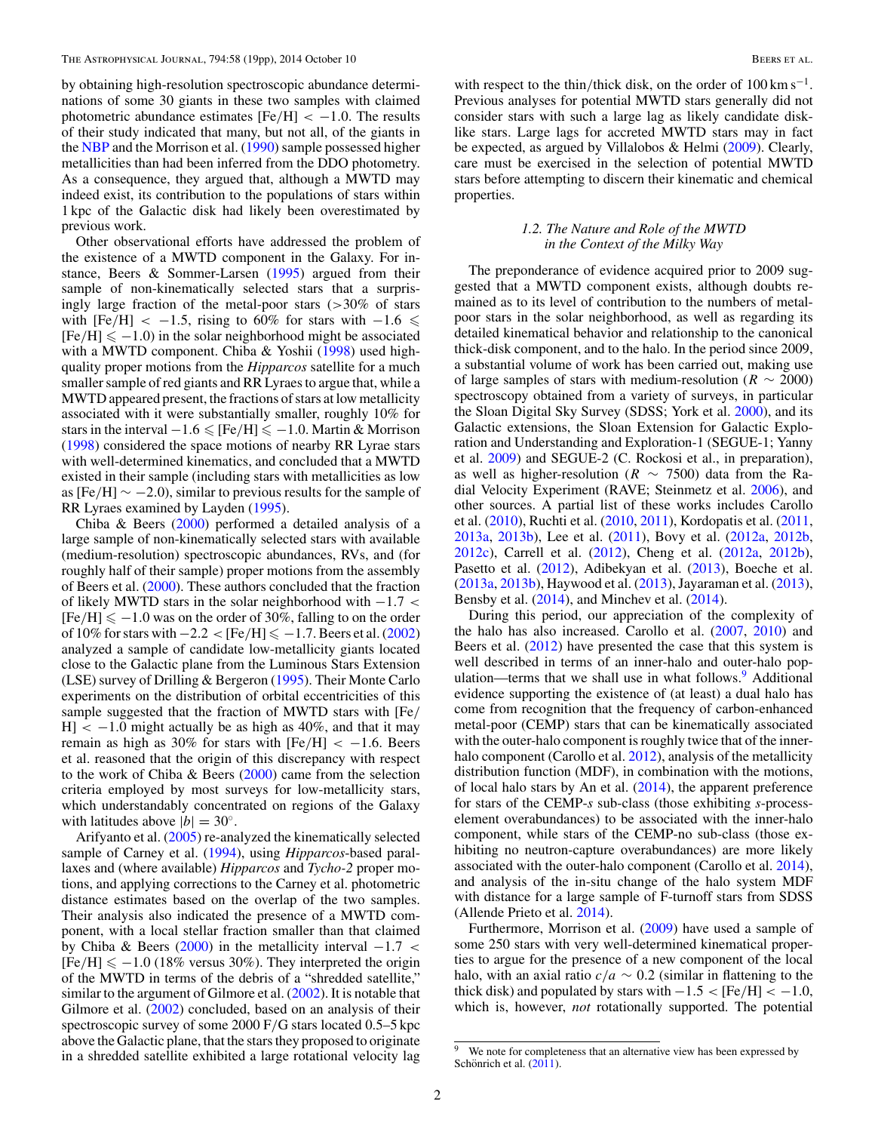by obtaining high-resolution spectroscopic abundance determinations of some 30 giants in these two samples with claimed photometric abundance estimates  $[Fe/H] < -1.0$ . The results of their study indicated that many, but not all, of the giants in the [NBP](#page-18-0) and the Morrison et al. [\(1990\)](#page-18-0) sample possessed higher metallicities than had been inferred from the DDO photometry. As a consequence, they argued that, although a MWTD may indeed exist, its contribution to the populations of stars within 1 kpc of the Galactic disk had likely been overestimated by previous work.

Other observational efforts have addressed the problem of the existence of a MWTD component in the Galaxy. For instance, Beers & Sommer-Larsen [\(1995\)](#page-18-0) argued from their sample of non-kinematically selected stars that a surprisingly large fraction of the metal-poor stars (*>*30% of stars with  $[Fe/H] \le -1.5$ , rising to 60% for stars with  $-1.6 \le$  $[Fe/H] \le -1.0$ ) in the solar neighborhood might be associated with a MWTD component. Chiba & Yoshii [\(1998\)](#page-18-0) used highquality proper motions from the *Hipparcos* satellite for a much smaller sample of red giants and RR Lyraes to argue that, while a MWTD appeared present, the fractions of stars at low metallicity associated with it were substantially smaller, roughly 10% for stars in the interval  $-1.6 \leq$  [Fe/H]  $\leq -1.0$ . Martin & Morrison [\(1998\)](#page-18-0) considered the space motions of nearby RR Lyrae stars with well-determined kinematics, and concluded that a MWTD existed in their sample (including stars with metallicities as low as [Fe*/*H] ∼ −2*.*0), similar to previous results for the sample of RR Lyraes examined by Layden [\(1995\)](#page-18-0).

Chiba & Beers [\(2000\)](#page-18-0) performed a detailed analysis of a large sample of non-kinematically selected stars with available (medium-resolution) spectroscopic abundances, RVs, and (for roughly half of their sample) proper motions from the assembly of Beers et al. [\(2000\)](#page-18-0). These authors concluded that the fraction of likely MWTD stars in the solar neighborhood with −1*.*7 *<*  $[Fe/H] \le -1.0$  was on the order of 30%, falling to on the order of 10% for stars with  $-2.2 <$  [Fe/H]  $\leq -1.7$ . Beers et al. [\(2002\)](#page-18-0) analyzed a sample of candidate low-metallicity giants located close to the Galactic plane from the Luminous Stars Extension (LSE) survey of Drilling & Bergeron [\(1995\)](#page-18-0). Their Monte Carlo experiments on the distribution of orbital eccentricities of this sample suggested that the fraction of MWTD stars with [Fe*/*  $H$   $\vert$  < -1.0 might actually be as high as 40%, and that it may remain as high as 30% for stars with  $[Fe/H] < -1.6$ . Beers et al. reasoned that the origin of this discrepancy with respect to the work of Chiba & Beers [\(2000\)](#page-18-0) came from the selection criteria employed by most surveys for low-metallicity stars, which understandably concentrated on regions of the Galaxy with latitudes above  $|b| = 30^\circ$ .

Arifyanto et al. [\(2005\)](#page-18-0) re-analyzed the kinematically selected sample of Carney et al. [\(1994\)](#page-18-0), using *Hipparcos*-based parallaxes and (where available) *Hipparcos* and *Tycho-2* proper motions, and applying corrections to the Carney et al. photometric distance estimates based on the overlap of the two samples. Their analysis also indicated the presence of a MWTD component, with a local stellar fraction smaller than that claimed by Chiba & Beers [\(2000\)](#page-18-0) in the metallicity interval −1*.*7 *<*  $[Fe/H] \le -1.0$  (18% versus 30%). They interpreted the origin of the MWTD in terms of the debris of a "shredded satellite," similar to the argument of Gilmore et al. [\(2002\)](#page-18-0). It is notable that Gilmore et al. [\(2002\)](#page-18-0) concluded, based on an analysis of their spectroscopic survey of some 2000 F*/*G stars located 0.5–5 kpc above the Galactic plane, that the stars they proposed to originate in a shredded satellite exhibited a large rotational velocity lag

with respect to the thin/thick disk, on the order of  $100 \text{ km s}^{-1}$ . Previous analyses for potential MWTD stars generally did not consider stars with such a large lag as likely candidate disklike stars. Large lags for accreted MWTD stars may in fact be expected, as argued by Villalobos & Helmi [\(2009\)](#page-18-0). Clearly, care must be exercised in the selection of potential MWTD stars before attempting to discern their kinematic and chemical properties.

## *1.2. The Nature and Role of the MWTD in the Context of the Milky Way*

The preponderance of evidence acquired prior to 2009 suggested that a MWTD component exists, although doubts remained as to its level of contribution to the numbers of metalpoor stars in the solar neighborhood, as well as regarding its detailed kinematical behavior and relationship to the canonical thick-disk component, and to the halo. In the period since 2009, a substantial volume of work has been carried out, making use of large samples of stars with medium-resolution ( $R \sim 2000$ ) spectroscopy obtained from a variety of surveys, in particular the Sloan Digital Sky Survey (SDSS; York et al. [2000\)](#page-18-0), and its Galactic extensions, the Sloan Extension for Galactic Exploration and Understanding and Exploration-1 (SEGUE-1; Yanny et al. [2009\)](#page-18-0) and SEGUE-2 (C. Rockosi et al., in preparation), as well as higher-resolution ( $R \sim 7500$ ) data from the Radial Velocity Experiment (RAVE; Steinmetz et al. [2006\)](#page-18-0), and other sources. A partial list of these works includes Carollo et al. [\(2010\)](#page-18-0), Ruchti et al. [\(2010,](#page-18-0) [2011\)](#page-18-0), Kordopatis et al. [\(2011,](#page-18-0) [2013a,](#page-18-0) [2013b\)](#page-18-0), Lee et al. [\(2011\)](#page-18-0), Bovy et al. [\(2012a,](#page-18-0) [2012b,](#page-18-0) [2012c\)](#page-18-0), Carrell et al. [\(2012\)](#page-18-0), Cheng et al. [\(2012a,](#page-18-0) [2012b\)](#page-18-0), Pasetto et al. [\(2012\)](#page-18-0), Adibekyan et al. [\(2013\)](#page-18-0), Boeche et al. [\(2013a,](#page-18-0) [2013b\)](#page-18-0), Haywood et al. [\(2013\)](#page-18-0), Jayaraman et al. [\(2013\)](#page-18-0), Bensby et al. [\(2014\)](#page-18-0), and Minchev et al. [\(2014\)](#page-18-0).

During this period, our appreciation of the complexity of the halo has also increased. Carollo et al. [\(2007,](#page-18-0) [2010\)](#page-18-0) and Beers et al.  $(2012)$  have presented the case that this system is well described in terms of an inner-halo and outer-halo population—terms that we shall use in what follows.<sup>9</sup> Additional evidence supporting the existence of (at least) a dual halo has come from recognition that the frequency of carbon-enhanced metal-poor (CEMP) stars that can be kinematically associated with the outer-halo component is roughly twice that of the innerhalo component (Carollo et al. [2012\)](#page-18-0), analysis of the metallicity distribution function (MDF), in combination with the motions, of local halo stars by An et al. [\(2014\)](#page-18-0), the apparent preference for stars of the CEMP-*s* sub-class (those exhibiting *s*-processelement overabundances) to be associated with the inner-halo component, while stars of the CEMP-no sub-class (those exhibiting no neutron-capture overabundances) are more likely associated with the outer-halo component (Carollo et al. [2014\)](#page-18-0), and analysis of the in-situ change of the halo system MDF with distance for a large sample of F-turnoff stars from SDSS (Allende Prieto et al. [2014\)](#page-18-0).

Furthermore, Morrison et al. [\(2009\)](#page-18-0) have used a sample of some 250 stars with very well-determined kinematical properties to argue for the presence of a new component of the local halo, with an axial ratio  $c/a \sim 0.2$  (similar in flattening to the thick disk) and populated by stars with  $-1.5 <$  [Fe/H]  $<$  −1.0, which is, however, *not* rotationally supported. The potential

We note for completeness that an alternative view has been expressed by Schönrich et al.  $(2011)$  $(2011)$ .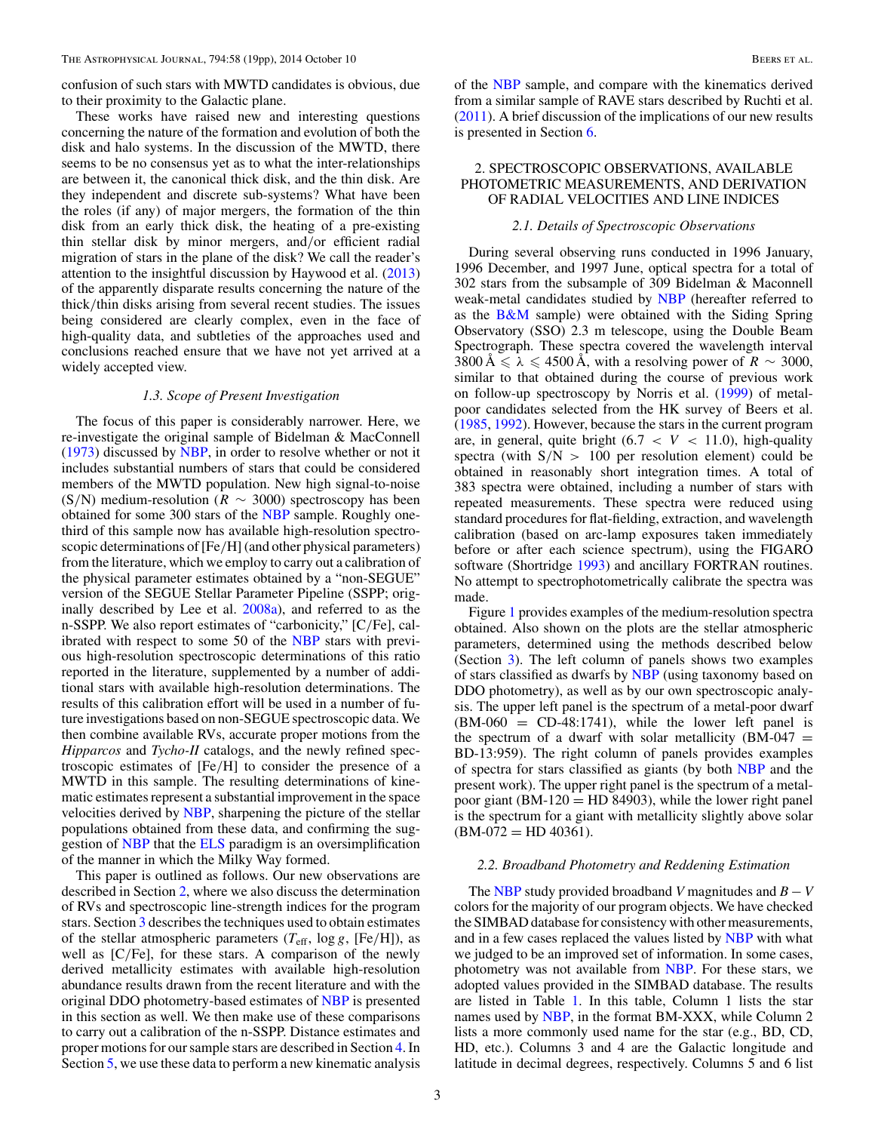confusion of such stars with MWTD candidates is obvious, due to their proximity to the Galactic plane.

These works have raised new and interesting questions concerning the nature of the formation and evolution of both the disk and halo systems. In the discussion of the MWTD, there seems to be no consensus yet as to what the inter-relationships are between it, the canonical thick disk, and the thin disk. Are they independent and discrete sub-systems? What have been the roles (if any) of major mergers, the formation of the thin disk from an early thick disk, the heating of a pre-existing thin stellar disk by minor mergers, and*/*or efficient radial migration of stars in the plane of the disk? We call the reader's attention to the insightful discussion by Haywood et al. [\(2013\)](#page-18-0) of the apparently disparate results concerning the nature of the thick*/*thin disks arising from several recent studies. The issues being considered are clearly complex, even in the face of high-quality data, and subtleties of the approaches used and conclusions reached ensure that we have not yet arrived at a widely accepted view.

## *1.3. Scope of Present Investigation*

The focus of this paper is considerably narrower. Here, we re-investigate the original sample of Bidelman & MacConnell [\(1973\)](#page-18-0) discussed by [NBP,](#page-18-0) in order to resolve whether or not it includes substantial numbers of stars that could be considered members of the MWTD population. New high signal-to-noise (S/N) medium-resolution ( $R \sim 3000$ ) spectroscopy has been obtained for some 300 stars of the [NBP](#page-18-0) sample. Roughly onethird of this sample now has available high-resolution spectroscopic determinations of [Fe*/*H] (and other physical parameters) from the literature, which we employ to carry out a calibration of the physical parameter estimates obtained by a "non-SEGUE" version of the SEGUE Stellar Parameter Pipeline (SSPP; originally described by Lee et al. [2008a\)](#page-18-0), and referred to as the n-SSPP. We also report estimates of "carbonicity," [C*/*Fe], calibrated with respect to some 50 of the [NBP](#page-18-0) stars with previous high-resolution spectroscopic determinations of this ratio reported in the literature, supplemented by a number of additional stars with available high-resolution determinations. The results of this calibration effort will be used in a number of future investigations based on non-SEGUE spectroscopic data. We then combine available RVs, accurate proper motions from the *Hipparcos* and *Tycho-II* catalogs, and the newly refined spectroscopic estimates of [Fe*/*H] to consider the presence of a MWTD in this sample. The resulting determinations of kinematic estimates represent a substantial improvement in the space velocities derived by [NBP,](#page-18-0) sharpening the picture of the stellar populations obtained from these data, and confirming the suggestion of [NBP](#page-18-0) that the [ELS](#page-18-0) paradigm is an oversimplification of the manner in which the Milky Way formed.

This paper is outlined as follows. Our new observations are described in Section 2, where we also discuss the determination of RVs and spectroscopic line-strength indices for the program stars. Section [3](#page-6-0) describes the techniques used to obtain estimates of the stellar atmospheric parameters  $(T_{\text{eff}}$ ,  $\log g$ , [Fe/H]), as well as [C*/*Fe], for these stars. A comparison of the newly derived metallicity estimates with available high-resolution abundance results drawn from the recent literature and with the original DDO photometry-based estimates of [NBP](#page-18-0) is presented in this section as well. We then make use of these comparisons to carry out a calibration of the n-SSPP. Distance estimates and proper motions for our sample stars are described in Section [4.](#page-9-0) In Section [5,](#page-9-0) we use these data to perform a new kinematic analysis

of the [NBP](#page-18-0) sample, and compare with the kinematics derived from a similar sample of RAVE stars described by Ruchti et al. [\(2011\)](#page-18-0). A brief discussion of the implications of our new results is presented in Section [6.](#page-16-0)

## 2. SPECTROSCOPIC OBSERVATIONS, AVAILABLE PHOTOMETRIC MEASUREMENTS, AND DERIVATION OF RADIAL VELOCITIES AND LINE INDICES

## *2.1. Details of Spectroscopic Observations*

During several observing runs conducted in 1996 January, 1996 December, and 1997 June, optical spectra for a total of 302 stars from the subsample of 309 Bidelman & Maconnell weak-metal candidates studied by [NBP](#page-18-0) (hereafter referred to as the  $B\&M$  sample) were obtained with the Siding Spring Observatory (SSO) 2.3 m telescope, using the Double Beam Spectrograph. These spectra covered the wavelength interval 3800 Å  $\le \lambda \le 4500$  Å, with a resolving power of *R* ∼ 3000, similar to that obtained during the course of previous work on follow-up spectroscopy by Norris et al. [\(1999\)](#page-18-0) of metalpoor candidates selected from the HK survey of Beers et al. [\(1985,](#page-18-0) [1992\)](#page-18-0). However, because the stars in the current program are, in general, quite bright  $(6.7 < V < 11.0)$ , high-quality spectra (with S*/*N *>* 100 per resolution element) could be obtained in reasonably short integration times. A total of 383 spectra were obtained, including a number of stars with repeated measurements. These spectra were reduced using standard procedures for flat-fielding, extraction, and wavelength calibration (based on arc-lamp exposures taken immediately before or after each science spectrum), using the FIGARO software (Shortridge [1993\)](#page-18-0) and ancillary FORTRAN routines. No attempt to spectrophotometrically calibrate the spectra was made.

Figure [1](#page-3-0) provides examples of the medium-resolution spectra obtained. Also shown on the plots are the stellar atmospheric parameters, determined using the methods described below (Section [3\)](#page-6-0). The left column of panels shows two examples of stars classified as dwarfs by [NBP](#page-18-0) (using taxonomy based on DDO photometry), as well as by our own spectroscopic analysis. The upper left panel is the spectrum of a metal-poor dwarf  $(BM-060 = CD-48:1741)$ , while the lower left panel is the spectrum of a dwarf with solar metallicity  $(BM-047)$  = BD-13:959). The right column of panels provides examples of spectra for stars classified as giants (by both [NBP](#page-18-0) and the present work). The upper right panel is the spectrum of a metalpoor giant  $(BM-120 = HD 84903)$ , while the lower right panel is the spectrum for a giant with metallicity slightly above solar  $(BM-072 = HD 40361).$ 

## *2.2. Broadband Photometry and Reddening Estimation*

The [NBP](#page-18-0) study provided broadband *V* magnitudes and  $B - V$ colors for the majority of our program objects. We have checked the SIMBAD database for consistency with other measurements, and in a few cases replaced the values listed by [NBP](#page-18-0) with what we judged to be an improved set of information. In some cases, photometry was not available from [NBP.](#page-18-0) For these stars, we adopted values provided in the SIMBAD database. The results are listed in Table [1.](#page-3-0) In this table, Column 1 lists the star names used by [NBP,](#page-18-0) in the format BM-XXX, while Column 2 lists a more commonly used name for the star (e.g., BD, CD, HD, etc.). Columns 3 and 4 are the Galactic longitude and latitude in decimal degrees, respectively. Columns 5 and 6 list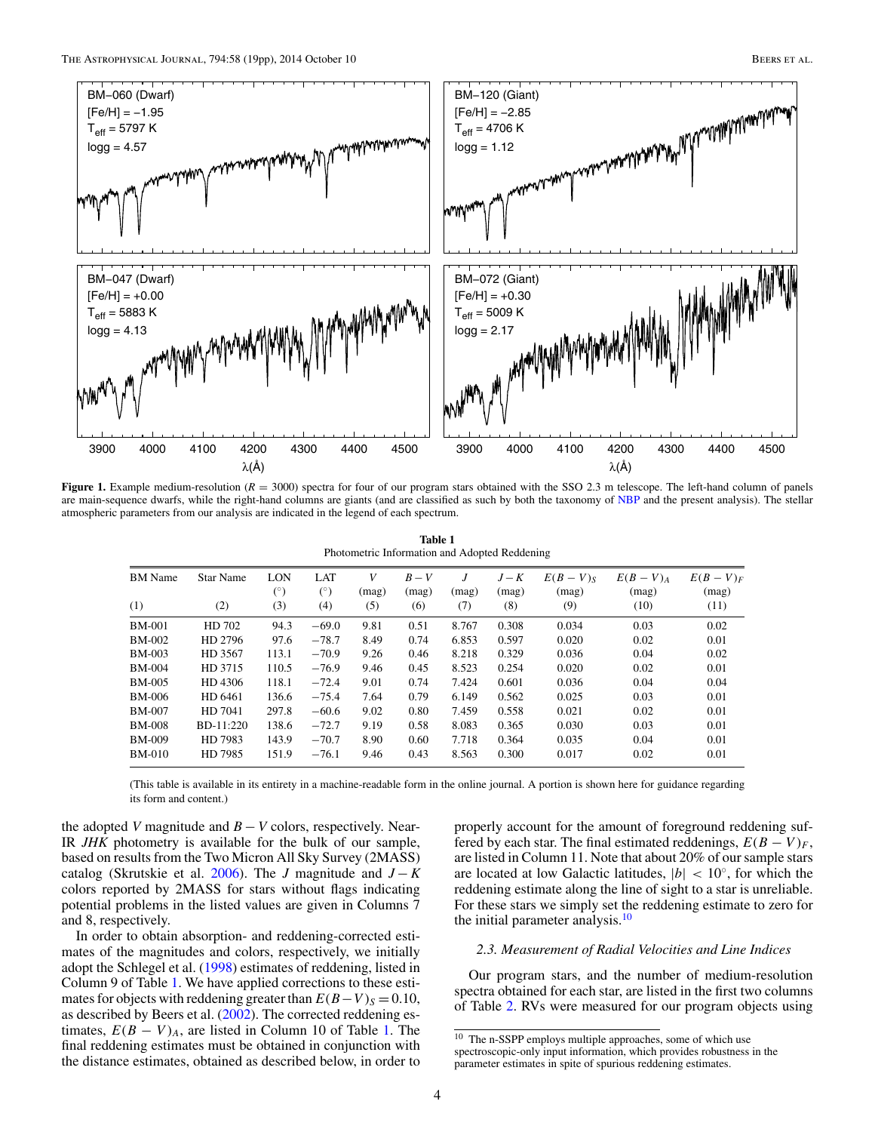<span id="page-3-0"></span>

**Figure 1.** Example medium-resolution  $(R = 3000)$  spectra for four of our program stars obtained with the SSO 2.3 m telescope. The left-hand column of panels are main-sequence dwarfs, while the right-hand columns are giants (and are classified as such by both the taxonomy of [NBP](#page-18-0) and the present analysis). The stellar atmospheric parameters from our analysis are indicated in the legend of each spectrum.

**Table 1** Photometric Information and Adopted Reddening

| <b>BM</b> Name | <b>Star Name</b> | LON   | <b>LAT</b> | V     | $B-V$ | J     | $J-K$ | $E(B-V)S$ | $E(B-V)_{A}$ | $E(B-V)F$ |
|----------------|------------------|-------|------------|-------|-------|-------|-------|-----------|--------------|-----------|
|                |                  | (°)   | $(^\circ)$ | (mag) | (mag) | (mag) | (mag) | (mag)     | (mag)        | (mag)     |
| (1)            | (2)              | (3)   | (4)        | (5)   | (6)   | (7)   | (8)   | (9)       | (10)         | (11)      |
| <b>BM-001</b>  | HD 702           | 94.3  | $-69.0$    | 9.81  | 0.51  | 8.767 | 0.308 | 0.034     | 0.03         | 0.02      |
| BM-002         | HD 2796          | 97.6  | $-78.7$    | 8.49  | 0.74  | 6.853 | 0.597 | 0.020     | 0.02         | 0.01      |
| BM-003         | HD 3567          | 113.1 | $-70.9$    | 9.26  | 0.46  | 8.218 | 0.329 | 0.036     | 0.04         | 0.02      |
| BM-004         | HD 3715          | 110.5 | $-76.9$    | 9.46  | 0.45  | 8.523 | 0.254 | 0.020     | 0.02         | 0.01      |
| BM-005         | HD 4306          | 118.1 | $-72.4$    | 9.01  | 0.74  | 7.424 | 0.601 | 0.036     | 0.04         | 0.04      |
| BM-006         | HD 6461          | 136.6 | $-75.4$    | 7.64  | 0.79  | 6.149 | 0.562 | 0.025     | 0.03         | 0.01      |
| <b>BM-007</b>  | HD 7041          | 297.8 | $-60.6$    | 9.02  | 0.80  | 7.459 | 0.558 | 0.021     | 0.02         | 0.01      |
| BM-008         | BD-11:220        | 138.6 | $-72.7$    | 9.19  | 0.58  | 8.083 | 0.365 | 0.030     | 0.03         | 0.01      |
| BM-009         | HD 7983          | 143.9 | $-70.7$    | 8.90  | 0.60  | 7.718 | 0.364 | 0.035     | 0.04         | 0.01      |
| BM-010         | HD 7985          | 151.9 | $-76.1$    | 9.46  | 0.43  | 8.563 | 0.300 | 0.017     | 0.02         | 0.01      |
|                |                  |       |            |       |       |       |       |           |              |           |

(This table is available in its entirety in a machine-readable form in the online journal. A portion is shown here for guidance regarding its form and content.)

the adopted *V* magnitude and  $B - V$  colors, respectively. Near-IR *JHK* photometry is available for the bulk of our sample, based on results from the Two Micron All Sky Survey (2MASS) catalog (Skrutskie et al. [2006\)](#page-18-0). The *J* magnitude and *J* − *K* colors reported by 2MASS for stars without flags indicating potential problems in the listed values are given in Columns 7 and 8, respectively.

In order to obtain absorption- and reddening-corrected estimates of the magnitudes and colors, respectively, we initially adopt the Schlegel et al. [\(1998\)](#page-18-0) estimates of reddening, listed in Column 9 of Table 1. We have applied corrections to these estimates for objects with reddening greater than  $E(B-V)_S = 0.10$ , as described by Beers et al. [\(2002\)](#page-18-0). The corrected reddening estimates,  $E(B - V)_{A}$ , are listed in Column 10 of Table 1. The final reddening estimates must be obtained in conjunction with the distance estimates, obtained as described below, in order to

properly account for the amount of foreground reddening suffered by each star. The final estimated reddenings,  $E(B - V)_{F}$ , are listed in Column 11. Note that about 20% of our sample stars are located at low Galactic latitudes,  $|b| < 10^\circ$ , for which the reddening estimate along the line of sight to a star is unreliable. For these stars we simply set the reddening estimate to zero for the initial parameter analysis. $10$ 

### *2.3. Measurement of Radial Velocities and Line Indices*

Our program stars, and the number of medium-resolution spectra obtained for each star, are listed in the first two columns of Table [2.](#page-4-0) RVs were measured for our program objects using

<sup>&</sup>lt;sup>10</sup> The n-SSPP employs multiple approaches, some of which use spectroscopic-only input information, which provides robustness in the parameter estimates in spite of spurious reddening estimates.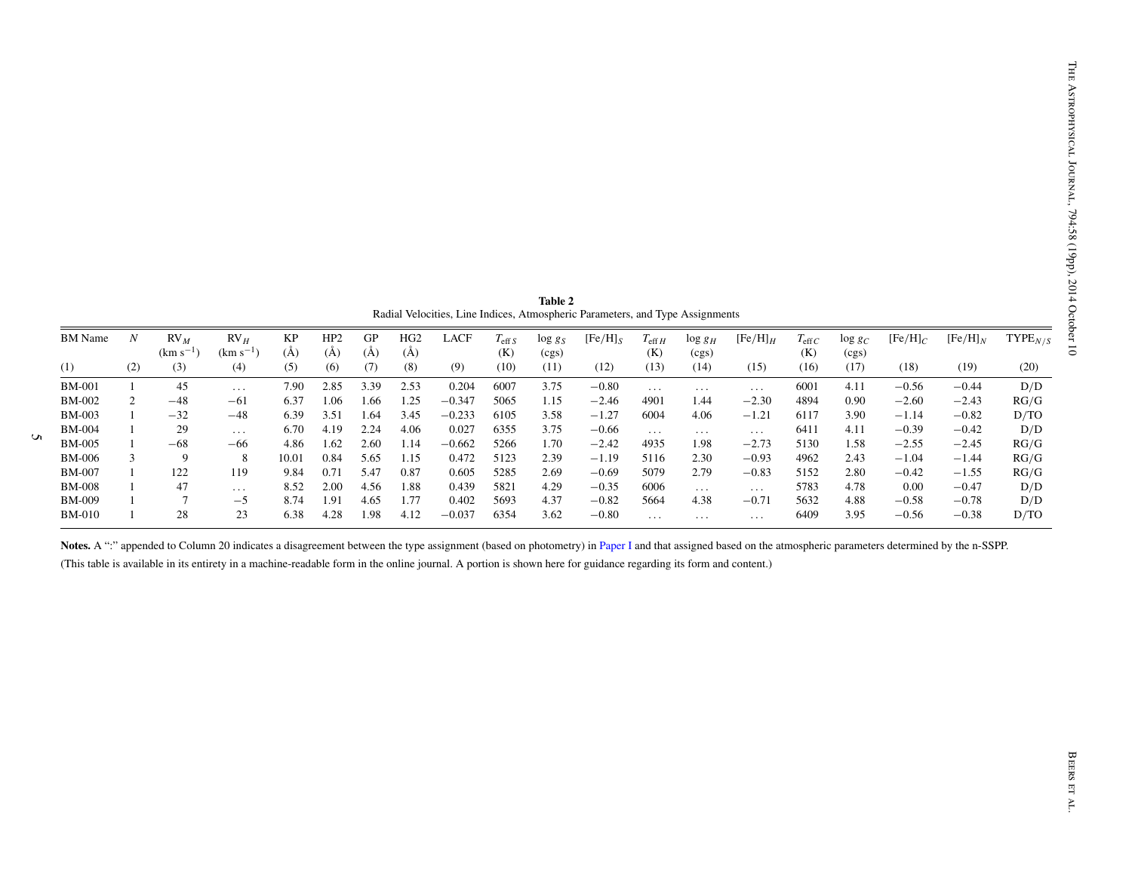<span id="page-4-0"></span>

|               | $\boldsymbol{N}$ | $RV_M$<br>$(km s^{-1})$ | RV <sub>H</sub><br>$(km s^{-1})$ | KP<br>$(\AA)$ | HP <sub>2</sub><br>$(\AA)$ | GP<br>$(\AA)$ | HG2<br>(A) | LACF     | $T_{\rm eff, S}$<br>(K) | $\log g_S$<br>(cgs) | $[Fe/H]_S$ | $T_{\rm eff}$ H<br>(K) | $\log g_H$<br>(cgs)  | $[Fe/H]_H$           | $T_{\rm eff}$<br>(K) | $\log g_C$<br>(cgs) | $[Fe/H]_C$ | $[Fe/H]_N$ | TYPE <sub>N/S</sub> |
|---------------|------------------|-------------------------|----------------------------------|---------------|----------------------------|---------------|------------|----------|-------------------------|---------------------|------------|------------------------|----------------------|----------------------|----------------------|---------------------|------------|------------|---------------------|
| (1)           | (2)              | (3)                     | (4)                              | (5)           | (6)                        | (7)           | (8)        | (9)      | (10)                    | (11)                | (12)       | (13)                   | (14)                 | (15)                 | (16)                 | (17)                | (18)       | (19)       | (20)                |
| <b>BM-001</b> | $\mathbf{1}$     | 45                      | $\sim$ $\sim$ $\sim$             | 7.90          | 2.85                       | 3.39          | 2.53       | 0.204    | 6007                    | 3.75                | $-0.80$    | $\ldots$               | $\sim$ $\sim$ $\sim$ | $\sim$ $\sim$ $\sim$ | 6001                 | 4.11                | $-0.56$    | $-0.44$    | D/D                 |
| <b>BM-002</b> | 2                | $-48$                   | $-61$                            | 6.37          | 1.06                       | 1.66          | 1.25       | $-0.347$ | 5065                    | 1.15                | $-2.46$    | 4901                   | 1.44                 | $-2.30$              | 4894                 | 0.90                | $-2.60$    | $-2.43$    | RG/G                |
| <b>BM-003</b> | $\mathbf{1}$     | $-32$                   | $-48$                            | 6.39          | 3.51                       | 1.64          | 3.45       | $-0.233$ | 6105                    | 3.58                | $-1.27$    | 6004                   | 4.06                 | $-1.21$              | 6117                 | 3.90                | $-1.14$    | $-0.82$    | D/TO                |
| <b>BM-004</b> |                  | 29                      | $\sim$ $\sim$ $\sim$             | 6.70          | 4.19                       | 2.24          | 4.06       | 0.027    | 6355                    | 3.75                | $-0.66$    | $\ldots$               | $\sim$ $\sim$ $\sim$ | $\ldots$ .           | 6411                 | 4.11                | $-0.39$    | $-0.42$    | D/D                 |
| <b>BM-005</b> |                  | $-68$                   | $-66$                            | 4.86          | 1.62                       | 2.60          | 1.14       | $-0.662$ | 5266                    | 1.70                | $-2.42$    | 4935                   | 1.98                 | $-2.73$              | 5130                 | 1.58                | $-2.55$    | $-2.45$    | RG/G                |
| <b>BM-006</b> | 3                | 9                       | 8                                | 10.01         | 0.84                       | 5.65          | 1.15       | 0.472    | 5123                    | 2.39                | $-1.19$    | 5116                   | 2.30                 | $-0.93$              | 4962                 | 2.43                | $-1.04$    | $-1.44$    | RG/G                |
| <b>BM-007</b> |                  | 122                     | 119                              | 9.84          | 0.71                       | 5.47          | 0.87       | 0.605    | 5285                    | 2.69                | $-0.69$    | 5079                   | 2.79                 | $-0.83$              | 5152                 | 2.80                | $-0.42$    | $-1.55$    | RG/G                |
| <b>BM-008</b> |                  | 47                      | $\ldots$                         | 8.52          | 2.00                       | 4.56          | 1.88       | 0.439    | 5821                    | 4.29                | $-0.35$    | 6006                   | $\sim$ $\sim$ $\sim$ | $\sim$ $\sim$ $\sim$ | 5783                 | 4.78                | 0.00       | $-0.47$    | D/D                 |
| <b>BM-009</b> |                  | $\overline{7}$          | $-5$                             | 8.74          | 1.91                       | 4.65          | 1.77       | 0.402    | 5693                    | 4.37                | $-0.82$    | 5664                   | 4.38                 | $-0.71$              | 5632                 | 4.88                | $-0.58$    | $-0.78$    | D/D                 |
| <b>BM-010</b> |                  | 28                      | 23                               | 6.38          | 4.28                       | 1.98          | 4.12       | $-0.037$ | 6354                    | 3.62                | $-0.80$    | $\ldots$               | $\sim$ $\sim$ $\sim$ | $\sim$ $\sim$ $\sim$ | 6409                 | 3.95                | $-0.56$    | $-0.38$    | D/TO                |
|               |                  |                         |                                  |               |                            |               |            |          |                         |                     |            |                        |                      |                      |                      |                     |            |            |                     |
|               |                  |                         |                                  |               |                            |               |            |          |                         |                     |            |                        |                      |                      |                      |                     |            |            |                     |
|               |                  |                         |                                  |               |                            |               |            |          |                         |                     |            |                        |                      |                      |                      |                     |            |            |                     |
|               |                  |                         |                                  |               |                            |               |            |          |                         |                     |            |                        |                      |                      |                      |                     |            |            |                     |
|               |                  |                         |                                  |               |                            |               |            |          |                         |                     |            |                        |                      |                      |                      |                     |            |            |                     |
|               |                  |                         |                                  |               |                            |               |            |          |                         |                     |            |                        |                      |                      |                      |                     |            |            |                     |
|               |                  |                         |                                  |               |                            |               |            |          |                         |                     |            |                        |                      |                      |                      |                     |            |            |                     |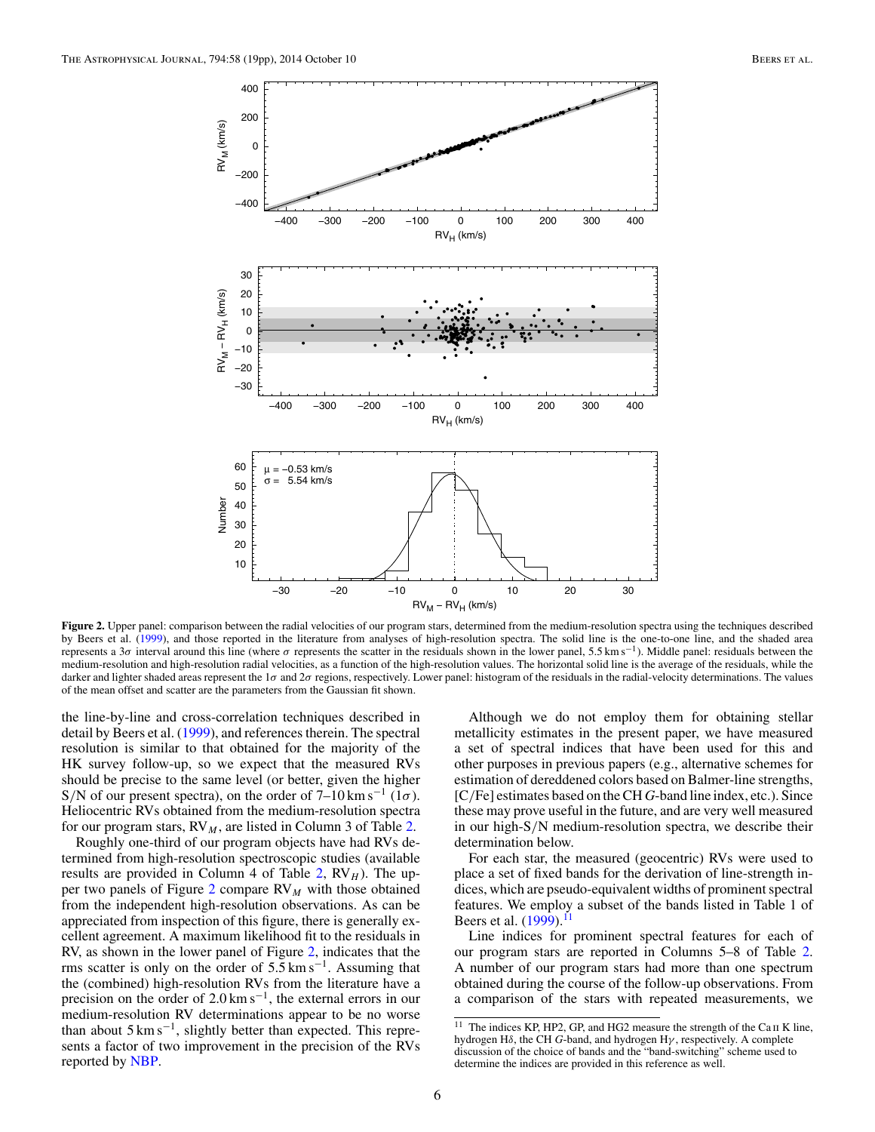

**Figure 2.** Upper panel: comparison between the radial velocities of our program stars, determined from the medium-resolution spectra using the techniques described by Beers et al. [\(1999\)](#page-18-0), and those reported in the literature from analyses of high-resolution spectra. The solid line is the one-to-one line, and the shaded area represents a 3*σ* interval around this line (where *σ* represents the scatter in the residuals shown in the lower panel, 5.5 km s−1). Middle panel: residuals between the medium-resolution and high-resolution radial velocities, as a function of the high-resolution values. The horizontal solid line is the average of the residuals, while the darker and lighter shaded areas represent the 1*σ* and 2*σ* regions, respectively. Lower panel: histogram of the residuals in the radial-velocity determinations. The values of the mean offset and scatter are the parameters from the Gaussian fit shown.

the line-by-line and cross-correlation techniques described in detail by Beers et al. [\(1999\)](#page-18-0), and references therein. The spectral resolution is similar to that obtained for the majority of the HK survey follow-up, so we expect that the measured RVs should be precise to the same level (or better, given the higher S/N of our present spectra), on the order of  $7-10 \text{ km s}^{-1}$  ( $1\sigma$ ). Heliocentric RVs obtained from the medium-resolution spectra for our program stars,  $RV_M$ , are listed in Column 3 of Table [2.](#page-4-0)

Roughly one-third of our program objects have had RVs determined from high-resolution spectroscopic studies (available results are provided in Column 4 of Table  $2$ ,  $RV<sub>H</sub>$ ). The upper two panels of Figure 2 compare RV*<sup>M</sup>* with those obtained from the independent high-resolution observations. As can be appreciated from inspection of this figure, there is generally excellent agreement. A maximum likelihood fit to the residuals in RV, as shown in the lower panel of Figure 2, indicates that the rms scatter is only on the order of  $5.5 \text{ km s}^{-1}$ . Assuming that the (combined) high-resolution RVs from the literature have a precision on the order of  $2.0 \text{ km s}^{-1}$ , the external errors in our medium-resolution RV determinations appear to be no worse than about  $5 \text{ km s}^{-1}$ , slightly better than expected. This represents a factor of two improvement in the precision of the RVs reported by [NBP.](#page-18-0)

Although we do not employ them for obtaining stellar metallicity estimates in the present paper, we have measured a set of spectral indices that have been used for this and other purposes in previous papers (e.g., alternative schemes for estimation of dereddened colors based on Balmer-line strengths, [C*/*Fe] estimates based on the CH *G*-band line index, etc.). Since these may prove useful in the future, and are very well measured in our high-S*/*N medium-resolution spectra, we describe their determination below.

For each star, the measured (geocentric) RVs were used to place a set of fixed bands for the derivation of line-strength indices, which are pseudo-equivalent widths of prominent spectral features. We employ a subset of the bands listed in Table 1 of Beers et al. [\(1999\)](#page-18-0).<sup>1</sup>

Line indices for prominent spectral features for each of our program stars are reported in Columns 5–8 of Table [2.](#page-4-0) A number of our program stars had more than one spectrum obtained during the course of the follow-up observations. From a comparison of the stars with repeated measurements, we

<sup>&</sup>lt;sup>11</sup> The indices KP, HP2, GP, and HG2 measure the strength of the Ca  $\scriptstyle\rm II$  K line, hydrogen H*δ*, the CH *G*-band, and hydrogen H*γ* , respectively. A complete discussion of the choice of bands and the "band-switching" scheme used to determine the indices are provided in this reference as well.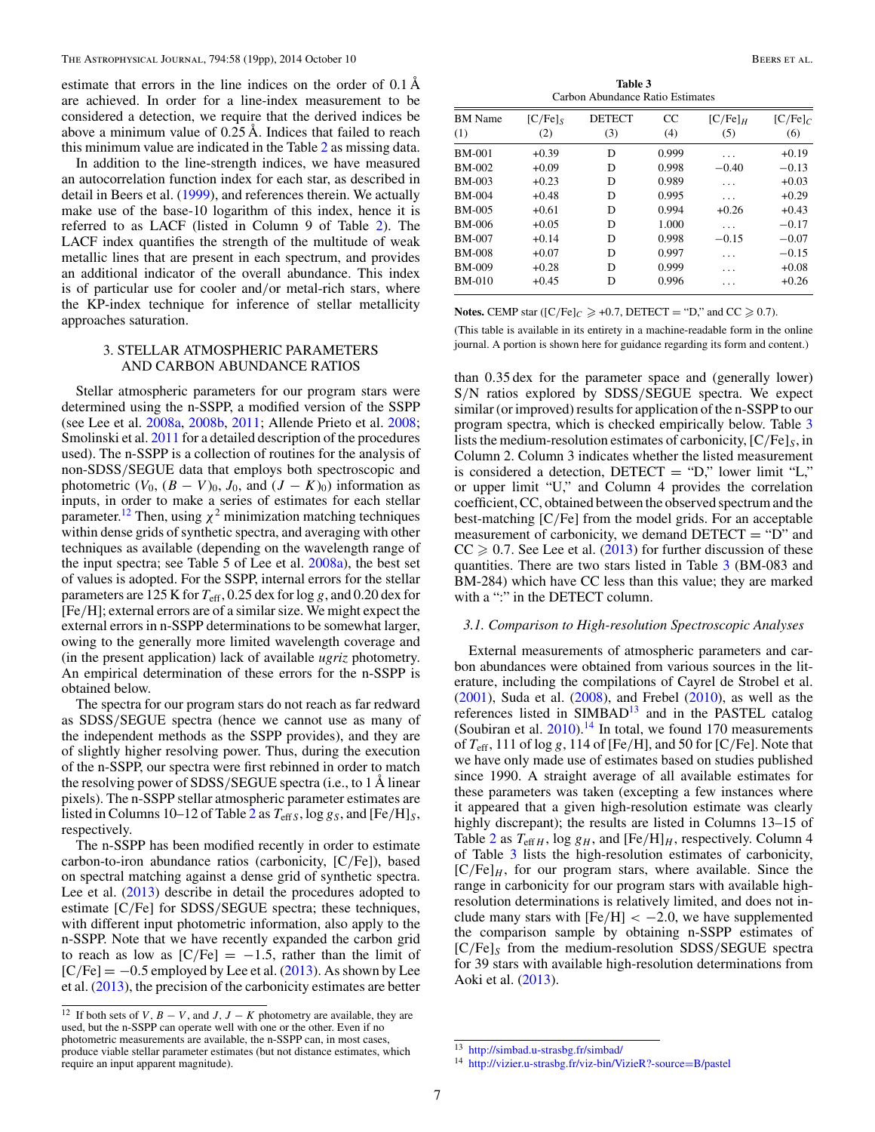<span id="page-6-0"></span>estimate that errors in the line indices on the order of 0.1 Å are achieved. In order for a line-index measurement to be considered a detection, we require that the derived indices be above a minimum value of 0.25 Å. Indices that failed to reach this minimum value are indicated in the Table [2](#page-4-0) as missing data.

In addition to the line-strength indices, we have measured an autocorrelation function index for each star, as described in detail in Beers et al. [\(1999\)](#page-18-0), and references therein. We actually make use of the base-10 logarithm of this index, hence it is referred to as LACF (listed in Column 9 of Table [2\)](#page-4-0). The LACF index quantifies the strength of the multitude of weak metallic lines that are present in each spectrum, and provides an additional indicator of the overall abundance. This index is of particular use for cooler and*/*or metal-rich stars, where the KP-index technique for inference of stellar metallicity approaches saturation.

## 3. STELLAR ATMOSPHERIC PARAMETERS AND CARBON ABUNDANCE RATIOS

Stellar atmospheric parameters for our program stars were determined using the n-SSPP, a modified version of the SSPP (see Lee et al. [2008a,](#page-18-0) [2008b,](#page-18-0) [2011;](#page-18-0) Allende Prieto et al. [2008;](#page-18-0) Smolinski et al. [2011](#page-18-0) for a detailed description of the procedures used). The n-SSPP is a collection of routines for the analysis of non-SDSS*/*SEGUE data that employs both spectroscopic and photometric  $(V_0, (B - V)_0, J_0, \text{ and } (J - K)_0)$  information as inputs, in order to make a series of estimates for each stellar parameter.<sup>12</sup> Then, using  $\chi^2$  minimization matching techniques within dense grids of synthetic spectra, and averaging with other techniques as available (depending on the wavelength range of the input spectra; see Table 5 of Lee et al. [2008a\)](#page-18-0), the best set of values is adopted. For the SSPP, internal errors for the stellar parameters are 125 K for  $T_{\text{eff}}$ , 0.25 dex for log *g*, and 0.20 dex for [Fe*/*H]; external errors are of a similar size. We might expect the external errors in n-SSPP determinations to be somewhat larger, owing to the generally more limited wavelength coverage and (in the present application) lack of available *ugriz* photometry. An empirical determination of these errors for the n-SSPP is obtained below.

The spectra for our program stars do not reach as far redward as SDSS*/*SEGUE spectra (hence we cannot use as many of the independent methods as the SSPP provides), and they are of slightly higher resolving power. Thus, during the execution of the n-SSPP, our spectra were first rebinned in order to match the resolving power of SDSS*/*SEGUE spectra (i.e., to 1 Å linear pixels). The n-SSPP stellar atmospheric parameter estimates are listed in Columns 10–1[2](#page-4-0) of Table 2 as  $T_{\text{eff}}$ *S*, log  $g_S$ , and [Fe/H]*S*, respectively.

The n-SSPP has been modified recently in order to estimate carbon-to-iron abundance ratios (carbonicity, [C*/*Fe]), based on spectral matching against a dense grid of synthetic spectra. Lee et al.  $(2013)$  describe in detail the procedures adopted to estimate [C*/*Fe] for SDSS*/*SEGUE spectra; these techniques, with different input photometric information, also apply to the n-SSPP. Note that we have recently expanded the carbon grid to reach as low as  $[C/Fe] = -1.5$ , rather than the limit of  $[C/Fe] = -0.5$  employed by Lee et al.  $(2013)$ . As shown by Lee et al.  $(2013)$ , the precision of the carbonicity estimates are better

**Table 3** Carbon Abundance Ratio Estimates

| <b>BM</b> Name | $[C/Fe]_S$ | <b>DETECT</b> | CC    | $[C/Fe]_H$ | $[C/Fe]_C$ |
|----------------|------------|---------------|-------|------------|------------|
| (1)            | (2)        | (3)           | (4)   | (5)        | (6)        |
| <b>BM-001</b>  | $+0.39$    | D             | 0.999 | .          | $+0.19$    |
| <b>BM-002</b>  | $+0.09$    | D             | 0.998 | $-0.40$    | $-0.13$    |
| <b>BM-003</b>  | $+0.23$    | D             | 0.989 |            | $+0.03$    |
| <b>BM-004</b>  | $+0.48$    | D             | 0.995 | .          | $+0.29$    |
| <b>BM-005</b>  | $+0.61$    | D             | 0.994 | $+0.26$    | $+0.43$    |
| <b>BM-006</b>  | $+0.05$    | D             | 1.000 | .          | $-0.17$    |
| <b>BM-007</b>  | $+0.14$    | D             | 0.998 | $-0.15$    | $-0.07$    |
| <b>BM-008</b>  | $+0.07$    | D             | 0.997 | .          | $-0.15$    |
| <b>BM-009</b>  | $+0.28$    | D             | 0.999 | .          | $+0.08$    |
| <b>BM-010</b>  | $+0.45$    | D             | 0.996 |            | $+0.26$    |

**Notes.** CEMP star ( $[C/Fe]<sub>C</sub> \ge +0.7$ , DETECT = "D," and CC  $\ge 0.7$ ).

(This table is available in its entirety in a machine-readable form in the online journal. A portion is shown here for guidance regarding its form and content.)

than 0*.*35 dex for the parameter space and (generally lower) S*/*N ratios explored by SDSS*/*SEGUE spectra. We expect similar (or improved) results for application of the n-SSPP to our program spectra, which is checked empirically below. Table 3 lists the medium-resolution estimates of carbonicity, [C*/*Fe]*S*, in Column 2. Column 3 indicates whether the listed measurement is considered a detection, DETECT = "D," lower limit "L," or upper limit "U," and Column 4 provides the correlation coefficient, CC, obtained between the observed spectrum and the best-matching [C*/*Fe] from the model grids. For an acceptable measurement of carbonicity, we demand  $DETECT = "D"$  and  $CC \geq 0.7$ . See Lee et al. [\(2013\)](#page-18-0) for further discussion of these quantities. There are two stars listed in Table 3 (BM-083 and BM-284) which have CC less than this value; they are marked with a ":" in the DETECT column.

#### *3.1. Comparison to High-resolution Spectroscopic Analyses*

External measurements of atmospheric parameters and carbon abundances were obtained from various sources in the literature, including the compilations of Cayrel de Strobel et al. [\(2001\)](#page-18-0), Suda et al. [\(2008\)](#page-18-0), and Frebel [\(2010\)](#page-18-0), as well as the references listed in  $SIMBAD<sup>13</sup>$  and in the PASTEL catalog (Soubiran et al.  $2010$ ).<sup>14</sup> In total, we found 170 measurements of *T*eff, 111 of log *g*, 114 of [Fe*/*H], and 50 for [C*/*Fe]. Note that we have only made use of estimates based on studies published since 1990. A straight average of all available estimates for these parameters was taken (excepting a few instances where it appeared that a given high-resolution estimate was clearly highly discrepant); the results are listed in Columns 13–15 of Table [2](#page-4-0) as  $T_{\text{eff }H}$ , log  $g_H$ , and  $[Fe/H]_H$ , respectively. Column 4 of Table 3 lists the high-resolution estimates of carbonicity,  $[C/Fe]$ <sub>*H*</sub>, for our program stars, where available. Since the range in carbonicity for our program stars with available highresolution determinations is relatively limited, and does not include many stars with  $[Fe/H] < -2.0$ , we have supplemented the comparison sample by obtaining n-SSPP estimates of [C*/*Fe]*<sup>S</sup>* from the medium-resolution SDSS*/*SEGUE spectra for 39 stars with available high-resolution determinations from Aoki et al. [\(2013\)](#page-18-0).

 $12 \text{ If both sets of } V, B - V, \text{ and } J, J - K \text{ photometry are available, they are.}$ used, but the n-SSPP can operate well with one or the other. Even if no photometric measurements are available, the n-SSPP can, in most cases, produce viable stellar parameter estimates (but not distance estimates, which require an input apparent magnitude).

<sup>13</sup> <http://simbad.u-strasbg.fr/simbad/>

<sup>14</sup> [http://vizier.u-strasbg.fr/viz-bin/VizieR?-source](http://vizier.u-strasbg.fr/viz-bin/VizieR?-source=B/pastel)=B/pastel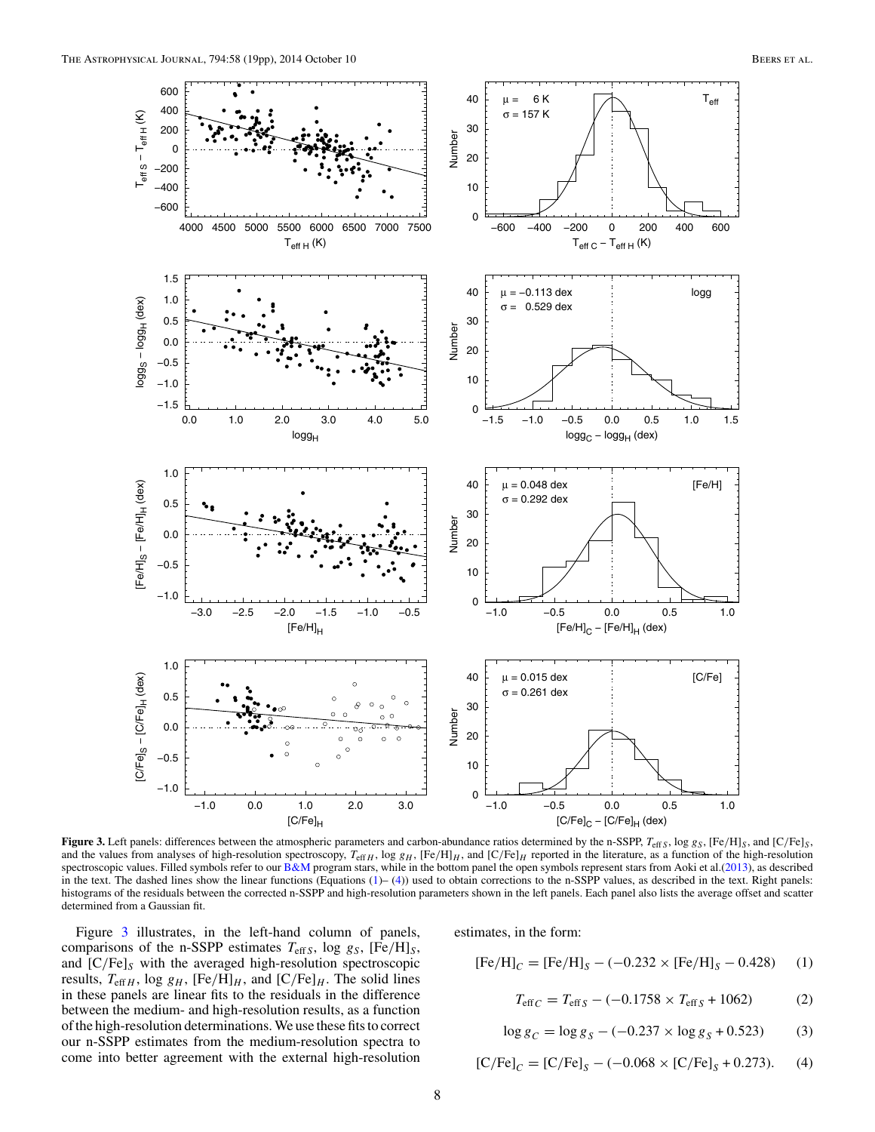<span id="page-7-0"></span>

Figure 3. Left panels: differences between the atmospheric parameters and carbon-abundance ratios determined by the n-SSPP,  $T_{\text{eff},S}$ , log  $g_S$ , [Fe/H]<sub>S</sub>, and [C/Fe]<sub>S</sub>, and the values from analyses of high-resolution spectroscopy,  $T_{\text{eff H}}$ , log  $g_H$ ,  $[Fe/H]_H$ , and  $[C/Fe]_H$  reported in the literature, as a function of the high-resolution spectroscopic values. Filled symbols refer to our  $B\&M$  program stars, while in the bottom panel the open symbols represent stars from Aoki et al.[\(2013\)](#page-18-0), as described in the text. The dashed lines show the linear functions (Equations (1)– (4)) used to obtain corrections to the n-SSPP values, as described in the text. Right panels: histograms of the residuals between the corrected n-SSPP and high-resolution parameters shown in the left panels. Each panel also lists the average offset and scatter determined from a Gaussian fit.

Figure 3 illustrates, in the left-hand column of panels, comparisons of the n-SSPP estimates *T*eff*<sup>S</sup>*, log *gS*, [Fe*/*H]*S*, and [C*/*Fe]*<sup>S</sup>* with the averaged high-resolution spectroscopic results,  $T_{\text{eff }H}$ , log  $g_H$ ,  $[Fe/H]_H$ , and  $[C/Fe]_H$ . The solid lines in these panels are linear fits to the residuals in the difference between the medium- and high-resolution results, as a function of the high-resolution determinations. We use these fits to correct our n-SSPP estimates from the medium-resolution spectra to come into better agreement with the external high-resolution

estimates, in the form:

$$
[Fe/H]_C = [Fe/H]_S - (-0.232 \times [Fe/H]_S - 0.428)
$$
 (1)

$$
T_{\text{eff }C} = T_{\text{eff }S} - (-0.1758 \times T_{\text{eff }S} + 1062) \tag{2}
$$

$$
\log g_C = \log g_S - (-0.237 \times \log g_S + 0.523) \tag{3}
$$

$$
[C/Fe]_C = [C/Fe]_S - (-0.068 \times [C/Fe]_S + 0.273). \tag{4}
$$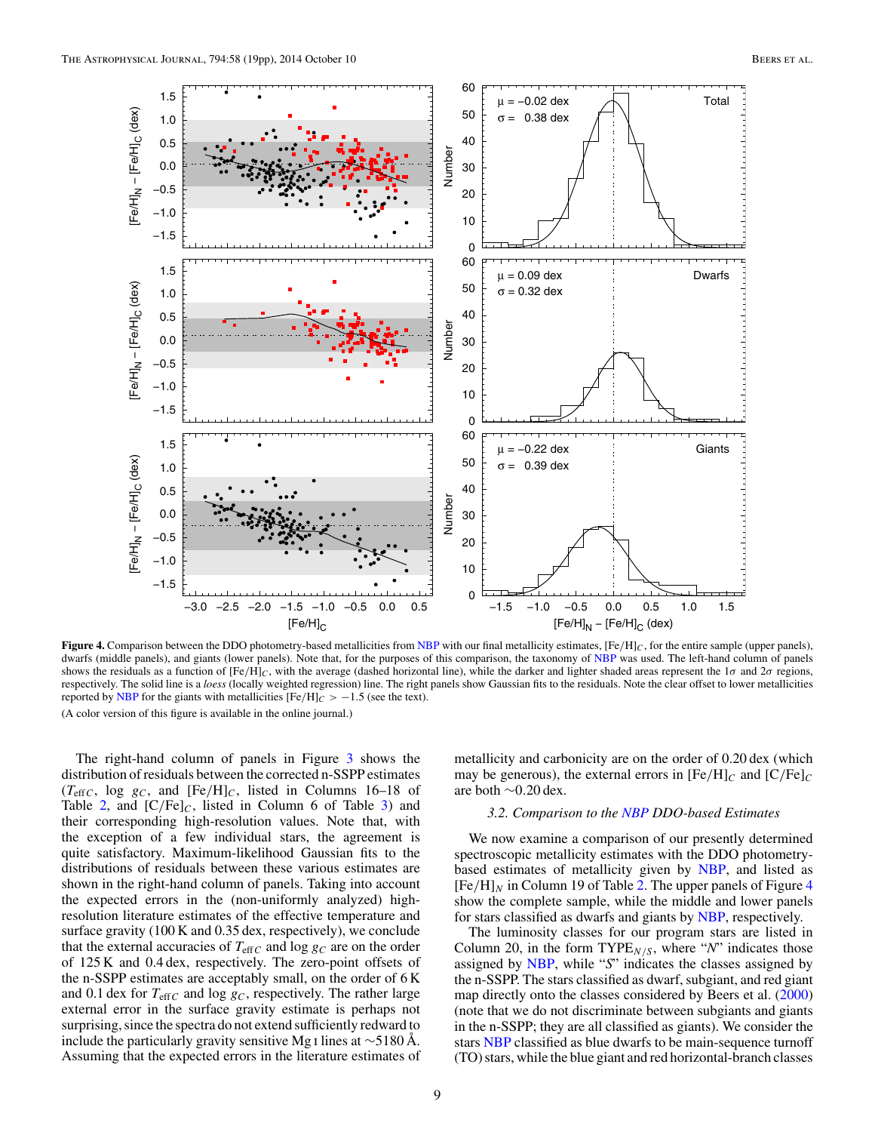<span id="page-8-0"></span>

**Figure 4.** Comparison between the DDO photometry-based metallicities from [NBP](#page-18-0) with our final metallicity estimates, [Fe*/*H]*C*, for the entire sample (upper panels), dwarfs (middle panels), and giants (lower panels). Note that, for the purposes of this comparison, the taxonomy of [NBP](#page-18-0) was used. The left-hand column of panels shows the residuals as a function of  $[Fe/H]_C$ , with the average (dashed horizontal line), while the darker and lighter shaded areas represent the 1*σ* and 2*σ* regions, respectively. The solid line is a *loess* (locally weighted regression) line. The right panels show Gaussian fits to the residuals. Note the clear offset to lower metallicities reported by [NBP](#page-18-0) for the giants with metallicities  $[Fe/H]_C > -1.5$  (see the text). (A color version of this figure is available in the online journal.)

The right-hand column of panels in Figure [3](#page-7-0) shows the distribution of residuals between the corrected n-SSPP estimates  $(T_{\text{eff }C}$ , log  $g_C$ , and  $[Fe/H]_C$ , listed in Columns 16–18 of Table [2,](#page-4-0) and  $[C/Fe]_C$ , listed in Column 6 of Table [3\)](#page-6-0) and their corresponding high-resolution values. Note that, with the exception of a few individual stars, the agreement is quite satisfactory. Maximum-likelihood Gaussian fits to the distributions of residuals between these various estimates are shown in the right-hand column of panels. Taking into account the expected errors in the (non-uniformly analyzed) highresolution literature estimates of the effective temperature and surface gravity (100 K and 0.35 dex, respectively), we conclude that the external accuracies of  $T_{\text{eff}}$  and log  $g_C$  are on the order of 125 K and 0.4 dex, respectively. The zero-point offsets of the n-SSPP estimates are acceptably small, on the order of 6 K and 0.1 dex for  $T_{\text{eff}C}$  and log  $g_C$ , respectively. The rather large external error in the surface gravity estimate is perhaps not surprising, since the spectra do not extend sufficiently redward to include the particularly gravity sensitive Mg i lines at ∼5180 Å. Assuming that the expected errors in the literature estimates of

metallicity and carbonicity are on the order of 0.20 dex (which may be generous), the external errors in  $[Fe/H]<sub>C</sub>$  and  $[C/Fe]<sub>C</sub>$ are both ∼0*.*20 dex.

#### *3.2. Comparison to the [NBP](#page-18-0) DDO-based Estimates*

We now examine a comparison of our presently determined spectroscopic metallicity estimates with the DDO photometrybased estimates of metallicity given by [NBP,](#page-18-0) and listed as  $[Fe/H]_N$  in Column 19 of Table [2.](#page-4-0) The upper panels of Figure 4 show the complete sample, while the middle and lower panels for stars classified as dwarfs and giants by [NBP,](#page-18-0) respectively.

The luminosity classes for our program stars are listed in Column 20, in the form  $\text{TYPE}_{N/S}$ , where "*N*" indicates those assigned by [NBP,](#page-18-0) while "*S*" indicates the classes assigned by the n-SSPP. The stars classified as dwarf, subgiant, and red giant map directly onto the classes considered by Beers et al. [\(2000\)](#page-18-0) (note that we do not discriminate between subgiants and giants in the n-SSPP; they are all classified as giants). We consider the stars [NBP](#page-18-0) classified as blue dwarfs to be main-sequence turnoff (TO) stars, while the blue giant and red horizontal-branch classes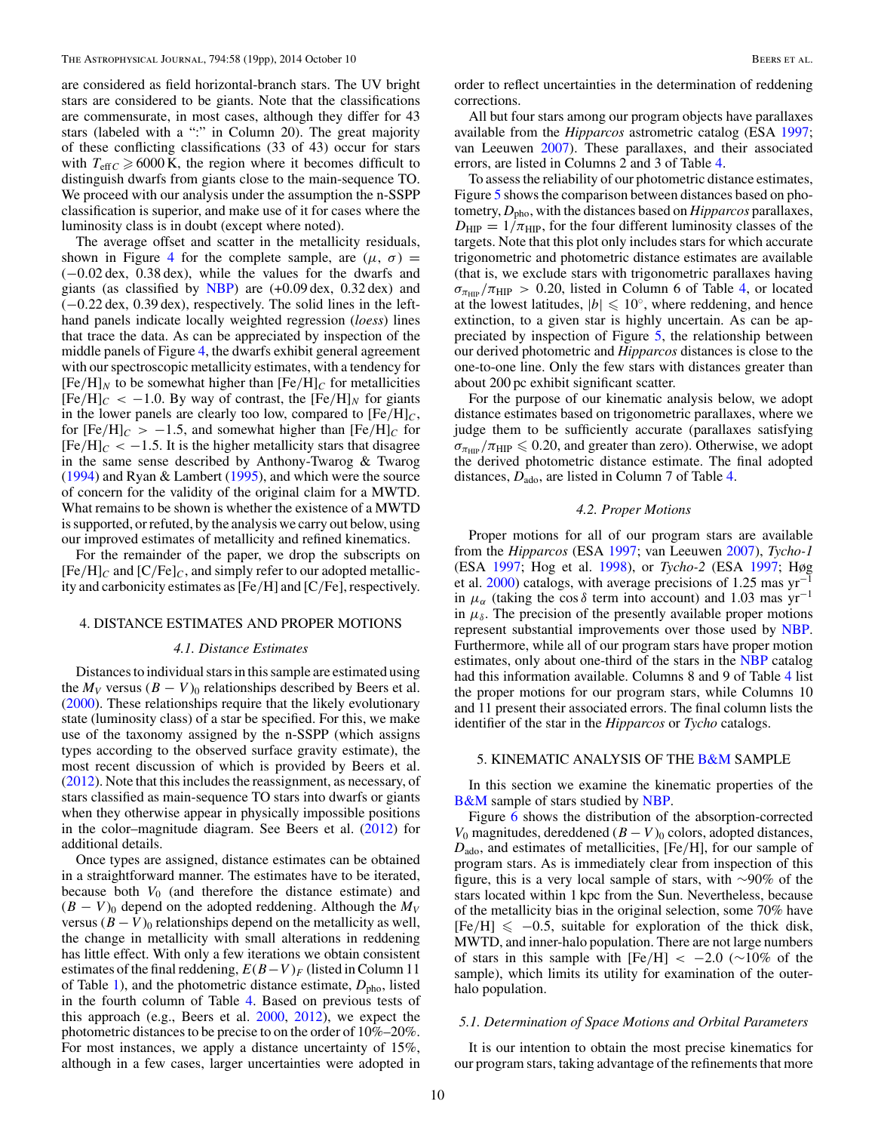<span id="page-9-0"></span>are considered as field horizontal-branch stars. The UV bright stars are considered to be giants. Note that the classifications are commensurate, in most cases, although they differ for 43 stars (labeled with a ":" in Column 20). The great majority of these conflicting classifications (33 of 43) occur for stars with  $T_{\text{eff}C} \ge 6000 \text{ K}$ , the region where it becomes difficult to distinguish dwarfs from giants close to the main-sequence TO. We proceed with our analysis under the assumption the n-SSPP classification is superior, and make use of it for cases where the luminosity class is in doubt (except where noted).

The average offset and scatter in the metallicity residuals, shown in Figure [4](#page-8-0) for the complete sample, are  $(\mu, \sigma)$  = (−0*.*02 dex, 0.38 dex), while the values for the dwarfs and giants (as classified by [NBP\)](#page-18-0) are (+0*.*09 dex, 0.32 dex) and (−0*.*22 dex, 0.39 dex), respectively. The solid lines in the lefthand panels indicate locally weighted regression (*loess*) lines that trace the data. As can be appreciated by inspection of the middle panels of Figure [4,](#page-8-0) the dwarfs exhibit general agreement with our spectroscopic metallicity estimates, with a tendency for  $[Fe/H]_N$  to be somewhat higher than  $[Fe/H]_C$  for metallicities  $[Fe/H]<sub>C</sub> < -1.0$ . By way of contrast, the  $[Fe/H]<sub>N</sub>$  for giants in the lower panels are clearly too low, compared to  $[Fe/H]_C$ , for  $[Fe/H]_C > -1.5$ , and somewhat higher than  $[Fe/H]_C$  for  $[Fe/H]<sub>C</sub> < -1.5$ . It is the higher metallicity stars that disagree in the same sense described by Anthony-Twarog & Twarog [\(1994\)](#page-18-0) and Ryan & Lambert [\(1995\)](#page-18-0), and which were the source of concern for the validity of the original claim for a MWTD. What remains to be shown is whether the existence of a MWTD is supported, or refuted, by the analysis we carry out below, using our improved estimates of metallicity and refined kinematics.

For the remainder of the paper, we drop the subscripts on  $[Fe/H]<sub>C</sub>$  and  $[C/Fe]<sub>C</sub>$ , and simply refer to our adopted metallicity and carbonicity estimates as [Fe*/*H] and [C*/*Fe], respectively.

### 4. DISTANCE ESTIMATES AND PROPER MOTIONS

### *4.1. Distance Estimates*

Distances to individual stars in this sample are estimated using the  $M_V$  versus  $(B - V)_0$  relationships described by Beers et al. [\(2000\)](#page-18-0). These relationships require that the likely evolutionary state (luminosity class) of a star be specified. For this, we make use of the taxonomy assigned by the n-SSPP (which assigns types according to the observed surface gravity estimate), the most recent discussion of which is provided by Beers et al. [\(2012\)](#page-18-0). Note that this includes the reassignment, as necessary, of stars classified as main-sequence TO stars into dwarfs or giants when they otherwise appear in physically impossible positions in the color–magnitude diagram. See Beers et al. [\(2012\)](#page-18-0) for additional details.

Once types are assigned, distance estimates can be obtained in a straightforward manner. The estimates have to be iterated, because both  $V_0$  (and therefore the distance estimate) and  $(B - V)$ <sup>0</sup> depend on the adopted reddening. Although the  $M_V$ versus  $(B - V)_0$  relationships depend on the metallicity as well, the change in metallicity with small alterations in reddening has little effect. With only a few iterations we obtain consistent estimates of the final reddening,  $E(B-V)$ <sub>F</sub> (listed in Column 11) of Table [1\)](#page-3-0), and the photometric distance estimate,  $D_{\text{pho}}$ , listed in the fourth column of Table [4.](#page-10-0) Based on previous tests of this approach (e.g., Beers et al. [2000,](#page-18-0) [2012\)](#page-18-0), we expect the photometric distances to be precise to on the order of 10%–20%. For most instances, we apply a distance uncertainty of 15%, although in a few cases, larger uncertainties were adopted in

order to reflect uncertainties in the determination of reddening corrections.

All but four stars among our program objects have parallaxes available from the *Hipparcos* astrometric catalog (ESA [1997;](#page-18-0) van Leeuwen [2007\)](#page-18-0). These parallaxes, and their associated errors, are listed in Columns 2 and 3 of Table [4.](#page-10-0)

To assess the reliability of our photometric distance estimates, Figure [5](#page-10-0) shows the comparison between distances based on photometry, *D*pho, with the distances based on *Hipparcos* parallaxes,  $D_{\text{HIP}} = 1/\pi_{\text{HIP}}$ , for the four different luminosity classes of the targets. Note that this plot only includes stars for which accurate trigonometric and photometric distance estimates are available (that is, we exclude stars with trigonometric parallaxes having  $\sigma_{\pi_{\text{HP}}}/\pi_{\text{HP}} > 0.20$ , listed in Column 6 of Table [4,](#page-10-0) or located at the lowest latitudes,  $|b| \leq 10°$ , where reddening, and hence extinction, to a given star is highly uncertain. As can be appreciated by inspection of Figure [5,](#page-10-0) the relationship between our derived photometric and *Hipparcos* distances is close to the one-to-one line. Only the few stars with distances greater than about 200 pc exhibit significant scatter.

For the purpose of our kinematic analysis below, we adopt distance estimates based on trigonometric parallaxes, where we judge them to be sufficiently accurate (parallaxes satisfying  $\sigma_{\pi_{\text{HIP}}} / \pi_{\text{HIP}} \leq 0.20$ , and greater than zero). Otherwise, we adopt the derived photometric distance estimate. The final adopted distances,  $D_{\text{ado}}$ , are listed in Column 7 of Table [4.](#page-10-0)

### *4.2. Proper Motions*

Proper motions for all of our program stars are available from the *Hipparcos* (ESA [1997;](#page-18-0) van Leeuwen [2007\)](#page-18-0), *Tycho-1* (ESA [1997;](#page-18-0) Hog et al. [1998\)](#page-18-0), or *Tycho-2* (ESA [1997;](#page-18-0) Høg et al. [2000\)](#page-18-0) catalogs, with average precisions of 1.25 mas yr−<sup>1</sup> in  $\mu_{\alpha}$  (taking the cos  $\delta$  term into account) and 1.03 mas yr<sup>-1</sup> in  $\mu_{\delta}$ . The precision of the presently available proper motions represent substantial improvements over those used by [NBP.](#page-18-0) Furthermore, while all of our program stars have proper motion estimates, only about one-third of the stars in the [NBP](#page-18-0) catalog had this information available. Columns 8 and 9 of Table [4](#page-10-0) list the proper motions for our program stars, while Columns 10 and 11 present their associated errors. The final column lists the identifier of the star in the *Hipparcos* or *Tycho* catalogs.

### 5. KINEMATIC ANALYSIS OF THE [B&M](#page-18-0) SAMPLE

In this section we examine the kinematic properties of the [B&M](#page-18-0) sample of stars studied by [NBP.](#page-18-0)

Figure [6](#page-11-0) shows the distribution of the absorption-corrected *V*<sub>0</sub> magnitudes, dereddened  $(B - V)_0$  colors, adopted distances, *D*ado, and estimates of metallicities, [Fe*/*H], for our sample of program stars. As is immediately clear from inspection of this figure, this is a very local sample of stars, with ∼90% of the stars located within 1 kpc from the Sun. Nevertheless, because of the metallicity bias in the original selection, some 70% have  $[Fe/H] \le -0.5$ , suitable for exploration of the thick disk, MWTD, and inner-halo population. There are not large numbers of stars in this sample with  $[Fe/H] < -2.0$  ( $\sim 10\%$  of the sample), which limits its utility for examination of the outerhalo population.

#### *5.1. Determination of Space Motions and Orbital Parameters*

It is our intention to obtain the most precise kinematics for our program stars, taking advantage of the refinements that more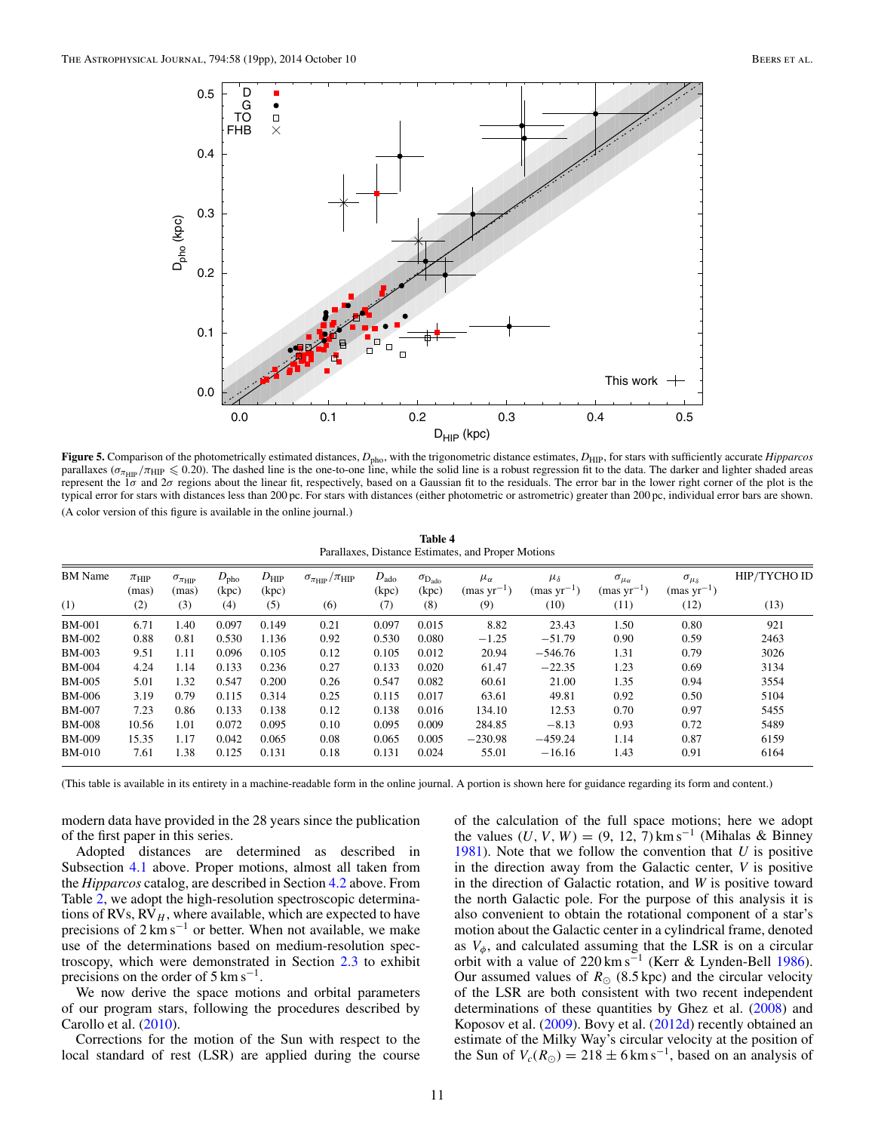<span id="page-10-0"></span>

Figure 5. Comparison of the photometrically estimated distances,  $D_{pho}$ , with the trigonometric distance estimates,  $D_{\text{HP}}$ , for stars with sufficiently accurate *Hipparcos* parallaxes ( $\sigma_{\pi_{\text{HIP}}}/\pi_{\text{HIP}} \leq 0.20$ ). The dashed line is the one-to-one line, while the solid line is a robust regression fit to the data. The darker and lighter shaded areas represent the 1*σ* and 2*σ* regions about the linear fit, respectively, based on a Gaussian fit to the residuals. The error bar in the lower right corner of the plot is the typical error for stars with distances less than 200 pc. For stars with distances (either photometric or astrometric) greater than 200 pc, individual error bars are shown. (A color version of this figure is available in the online journal.)

| Table 4                                            |  |
|----------------------------------------------------|--|
| Parallaxes, Distance Estimates, and Proper Motions |  |

| <b>BM</b> Name | $\pi_{\rm HIP}$<br>(mas) | $\sigma_{\pi_{\rm HIP}}$<br>(mas) | $D_{\rm pho}$<br>(kpc) | $D_{\rm HIP}$<br>(kpc) | $\sigma_{\pi_{\rm HIP}}/\pi_{\rm HIP}$ | $D_{\rm ado}$<br>(kpc) | $\sigma_{\rm D_{ado}}$<br>(kpc) | $\mu_{\alpha}$<br>${\rm (mas~yr^{-1})}$ | $\mu_{\delta}$<br>${\rm (mas~yr^{-1})}$ | $\sigma_{\mu_{\alpha}}$<br>${\rm (mas~yr^{-1})}$ | $\sigma_{\mu_{\delta}}$<br>$(mas yr^{-1})$ | HIP/TYCHO ID |
|----------------|--------------------------|-----------------------------------|------------------------|------------------------|----------------------------------------|------------------------|---------------------------------|-----------------------------------------|-----------------------------------------|--------------------------------------------------|--------------------------------------------|--------------|
| (1)            | (2)                      | (3)                               | (4)                    | (5)                    | (6)                                    | (7)                    | (8)                             | (9)                                     | (10)                                    | (11)                                             | (12)                                       | (13)         |
| <b>BM-001</b>  | 6.71                     | 1.40                              | 0.097                  | 0.149                  | 0.21                                   | 0.097                  | 0.015                           | 8.82                                    | 23.43                                   | 1.50                                             | 0.80                                       | 921          |
| BM-002         | 0.88                     | 0.81                              | 0.530                  | 1.136                  | 0.92                                   | 0.530                  | 0.080                           | $-1.25$                                 | $-51.79$                                | 0.90                                             | 0.59                                       | 2463         |
| BM-003         | 9.51                     | 1.11                              | 0.096                  | 0.105                  | 0.12                                   | 0.105                  | 0.012                           | 20.94                                   | $-546.76$                               | 1.31                                             | 0.79                                       | 3026         |
| <b>BM-004</b>  | 4.24                     | 1.14                              | 0.133                  | 0.236                  | 0.27                                   | 0.133                  | 0.020                           | 61.47                                   | $-22.35$                                | 1.23                                             | 0.69                                       | 3134         |
| BM-005         | 5.01                     | 1.32                              | 0.547                  | 0.200                  | 0.26                                   | 0.547                  | 0.082                           | 60.61                                   | 21.00                                   | 1.35                                             | 0.94                                       | 3554         |
| BM-006         | 3.19                     | 0.79                              | 0.115                  | 0.314                  | 0.25                                   | 0.115                  | 0.017                           | 63.61                                   | 49.81                                   | 0.92                                             | 0.50                                       | 5104         |
| <b>BM-007</b>  | 7.23                     | 0.86                              | 0.133                  | 0.138                  | 0.12                                   | 0.138                  | 0.016                           | 134.10                                  | 12.53                                   | 0.70                                             | 0.97                                       | 5455         |
| <b>BM-008</b>  | 10.56                    | 1.01                              | 0.072                  | 0.095                  | 0.10                                   | 0.095                  | 0.009                           | 284.85                                  | $-8.13$                                 | 0.93                                             | 0.72                                       | 5489         |
| <b>BM-009</b>  | 15.35                    | 1.17                              | 0.042                  | 0.065                  | 0.08                                   | 0.065                  | 0.005                           | $-230.98$                               | $-459.24$                               | 1.14                                             | 0.87                                       | 6159         |
| BM-010         | 7.61                     | 1.38                              | 0.125                  | 0.131                  | 0.18                                   | 0.131                  | 0.024                           | 55.01                                   | $-16.16$                                | 1.43                                             | 0.91                                       | 6164         |

(This table is available in its entirety in a machine-readable form in the online journal. A portion is shown here for guidance regarding its form and content.)

modern data have provided in the 28 years since the publication of the first paper in this series.

Adopted distances are determined as described in Subsection [4.1](#page-9-0) above. Proper motions, almost all taken from the *Hipparcos* catalog, are described in Section [4.2](#page-9-0) above. From Table [2,](#page-4-0) we adopt the high-resolution spectroscopic determinations of RVs,  $RV<sub>H</sub>$ , where available, which are expected to have precisions of  $2 \text{ km s}^{-1}$  or better. When not available, we make use of the determinations based on medium-resolution spectroscopy, which were demonstrated in Section [2.3](#page-3-0) to exhibit precisions on the order of  $5 \text{ km s}^{-1}$ .

We now derive the space motions and orbital parameters of our program stars, following the procedures described by Carollo et al. [\(2010\)](#page-18-0).

Corrections for the motion of the Sun with respect to the local standard of rest (LSR) are applied during the course of the calculation of the full space motions; here we adopt the values  $(U, V, W) = (9, 12, 7)$  km s<sup>-1</sup> (Mihalas & Binney [1981\)](#page-18-0). Note that we follow the convention that *U* is positive in the direction away from the Galactic center, *V* is positive in the direction of Galactic rotation, and *W* is positive toward the north Galactic pole. For the purpose of this analysis it is also convenient to obtain the rotational component of a star's motion about the Galactic center in a cylindrical frame, denoted as  $V_{\phi}$ , and calculated assuming that the LSR is on a circular orbit with a value of 220 km s<sup>-1</sup> (Kerr & Lynden-Bell [1986\)](#page-18-0). Our assumed values of  $R_{\odot}$  (8.5 kpc) and the circular velocity of the LSR are both consistent with two recent independent determinations of these quantities by Ghez et al. [\(2008\)](#page-18-0) and Koposov et al. [\(2009\)](#page-18-0). Bovy et al. [\(2012d\)](#page-18-0) recently obtained an estimate of the Milky Way's circular velocity at the position of the Sun of  $V_c(R_{\odot}) = 218 \pm 6 \text{ km s}^{-1}$ , based on an analysis of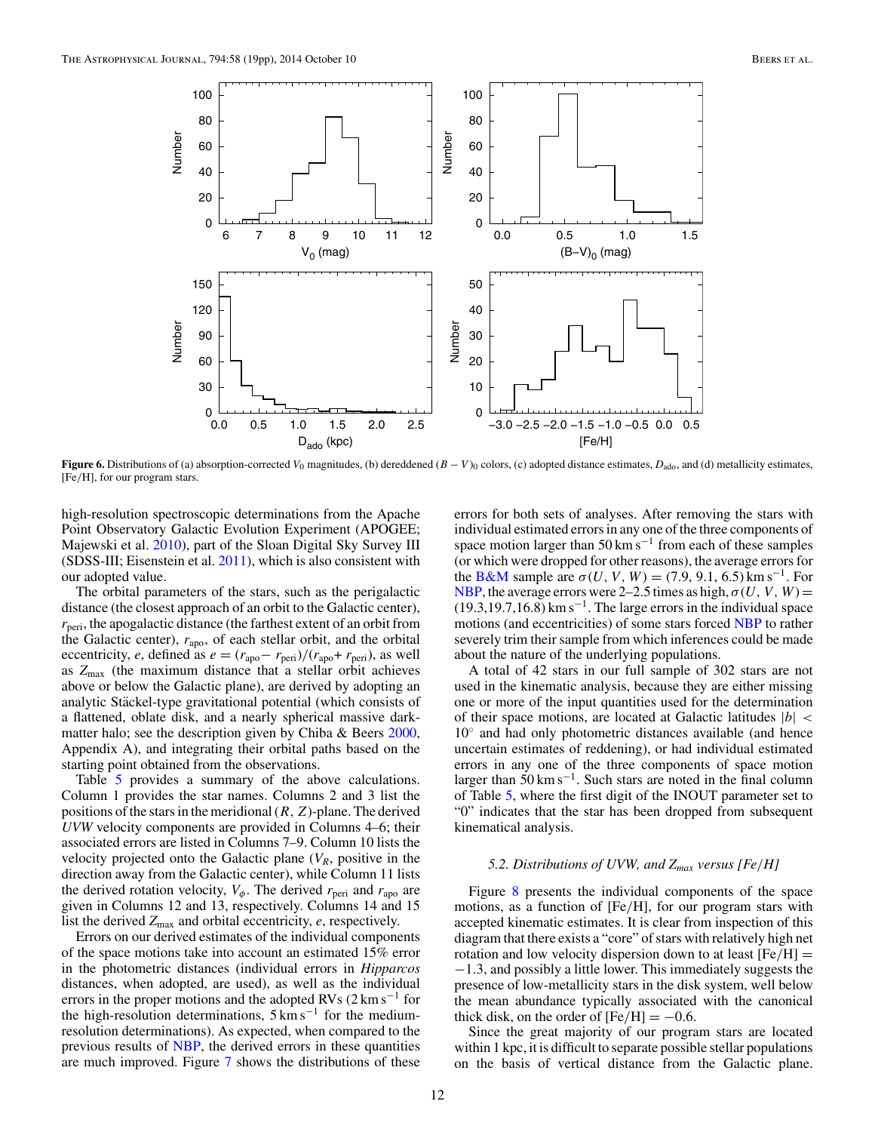<span id="page-11-0"></span>

**Figure 6.** Distributions of (a) absorption-corrected  $V_0$  magnitudes, (b) dereddened  $(B - V)_0$  colors, (c) adopted distance estimates,  $D_{\text{ado}}$ , and (d) metallicity estimates, [Fe*/*H], for our program stars.

high-resolution spectroscopic determinations from the Apache Point Observatory Galactic Evolution Experiment (APOGEE; Majewski et al. [2010\)](#page-18-0), part of the Sloan Digital Sky Survey III  $(SDSS-III; Eisenstein et al. 2011)$  $(SDSS-III; Eisenstein et al. 2011)$ , which is also consistent with our adopted value.

The orbital parameters of the stars, such as the perigalactic distance (the closest approach of an orbit to the Galactic center),  $r_{\text{peri}}$ , the apogalactic distance (the farthest extent of an orbit from the Galactic center),  $r_{\text{apo}}$ , of each stellar orbit, and the orbital eccentricity, *e*, defined as  $e = (r_{\text{apo}} - r_{\text{peri}})/(r_{\text{apo}} + r_{\text{peri}})$ , as well as *Z*max (the maximum distance that a stellar orbit achieves above or below the Galactic plane), are derived by adopting an analytic Stäckel-type gravitational potential (which consists of a flattened, oblate disk, and a nearly spherical massive darkmatter halo; see the description given by Chiba & Beers [2000,](#page-18-0) Appendix A), and integrating their orbital paths based on the starting point obtained from the observations.

Table [5](#page-12-0) provides a summary of the above calculations. Column 1 provides the star names. Columns 2 and 3 list the positions of the stars in the meridional (*R,Z*)-plane. The derived *UVW* velocity components are provided in Columns 4–6; their associated errors are listed in Columns 7–9. Column 10 lists the velocity projected onto the Galactic plane  $(V_R)$ , positive in the direction away from the Galactic center), while Column 11 lists the derived rotation velocity,  $V_{\phi}$ . The derived  $r_{\text{peri}}$  and  $r_{\text{apo}}$  are given in Columns 12 and 13, respectively. Columns 14 and 15 list the derived  $Z_{\text{max}}$  and orbital eccentricity, *e*, respectively.

Errors on our derived estimates of the individual components of the space motions take into account an estimated 15% error in the photometric distances (individual errors in *Hipparcos* distances, when adopted, are used), as well as the individual errors in the proper motions and the adopted RVs  $(2 \text{ km s}^{-1}$  for the high-resolution determinations,  $5 \text{ km s}^{-1}$  for the mediumresolution determinations). As expected, when compared to the previous results of [NBP,](#page-18-0) the derived errors in these quantities are much improved. Figure [7](#page-12-0) shows the distributions of these

errors for both sets of analyses. After removing the stars with individual estimated errors in any one of the three components of space motion larger than  $50 \text{ km s}^{-1}$  from each of these samples (or which were dropped for other reasons), the average errors for the [B&M](#page-18-0) sample are  $\sigma(U, V, W) = (7.9, 9.1, 6.5)$  km s<sup>-1</sup>. For [NBP,](#page-18-0) the average errors were 2–2.5 times as high,  $\sigma(U, V, W)$  =  $(19.3, 19.7, 16.8)$  km s<sup>-1</sup>. The large errors in the individual space motions (and eccentricities) of some stars forced [NBP](#page-18-0) to rather severely trim their sample from which inferences could be made about the nature of the underlying populations.

A total of 42 stars in our full sample of 302 stars are not used in the kinematic analysis, because they are either missing one or more of the input quantities used for the determination of their space motions, are located at Galactic latitudes |*b*| *<* 10◦ and had only photometric distances available (and hence uncertain estimates of reddening), or had individual estimated errors in any one of the three components of space motion larger than  $50 \text{ km s}^{-1}$ . Such stars are noted in the final column of Table [5,](#page-12-0) where the first digit of the INOUT parameter set to "0" indicates that the star has been dropped from subsequent kinematical analysis.

## *5.2. Distributions of UVW, and Zmax versus [Fe/H]*

Figure [8](#page-13-0) presents the individual components of the space motions, as a function of [Fe*/*H], for our program stars with accepted kinematic estimates. It is clear from inspection of this diagram that there exists a "core" of stars with relatively high net rotation and low velocity dispersion down to at least [Fe*/*H] = −1*.*3, and possibly a little lower. This immediately suggests the presence of low-metallicity stars in the disk system, well below the mean abundance typically associated with the canonical thick disk, on the order of  $[Fe/H] = -0.6$ .

Since the great majority of our program stars are located within 1 kpc, it is difficult to separate possible stellar populations on the basis of vertical distance from the Galactic plane.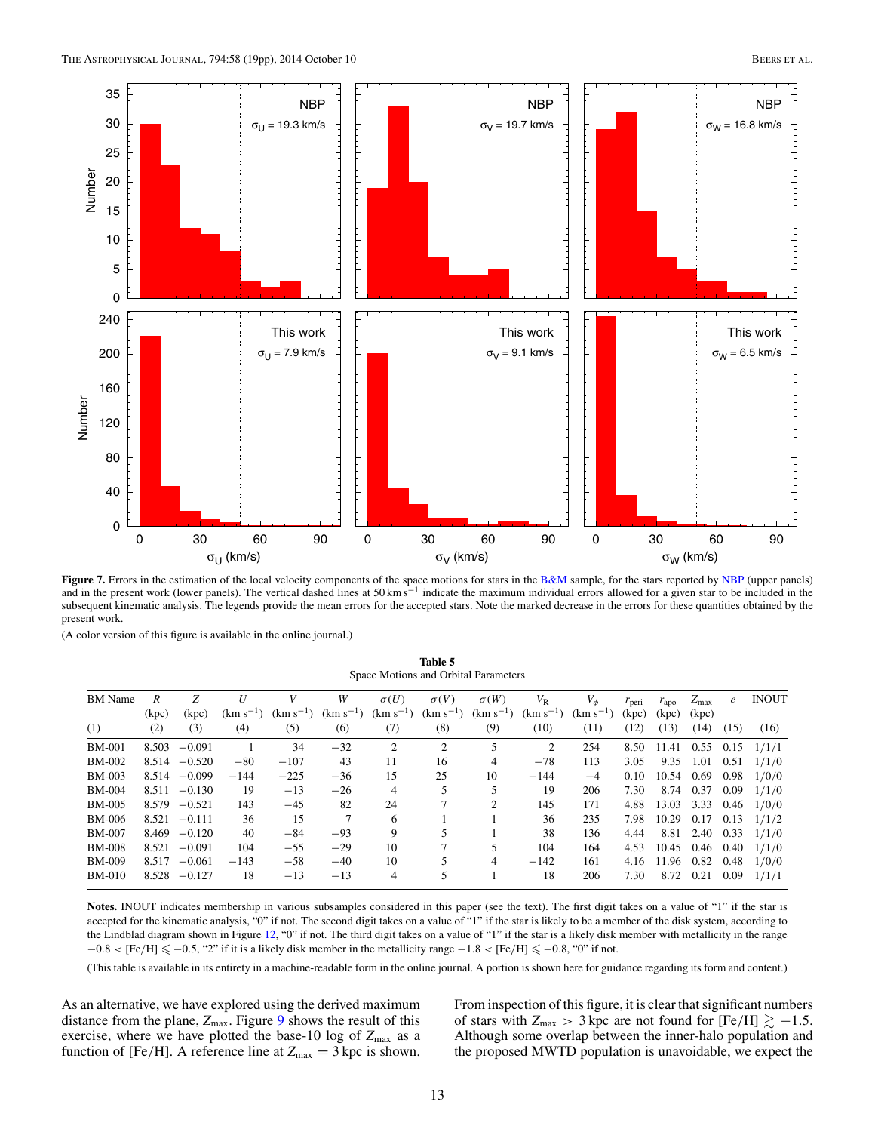<span id="page-12-0"></span>

Figure 7. Errors in the estimation of the local velocity components of the space motions for stars in the [B&M](#page-18-0) sample, for the stars reported by [NBP](#page-18-0) (upper panels) and in the present work (lower panels). The vertical dashed lines at 50 km s<sup>−1</sup> indicate the maximum individual errors allowed for a given star to be included in the subsequent kinematic analysis. The legends provide the mean errors for the accepted stars. Note the marked decrease in the errors for these quantities obtained by the present work.

(A color version of this figure is available in the online journal.)

**Table 5** Space Motions and Orbital Parameters

| <b>BM</b> Name | R     | Z               | U             | V      | W                           | $\sigma(U)$    | $\sigma(V)$   | $\sigma(W)$                   | $V_{\rm R}$    | $V_{\phi}$    | $r_{\text{peri}}$ | $r_{\rm apo}$ | $Z_{\rm max}$ | $\epsilon$ | <b>INOUT</b>       |
|----------------|-------|-----------------|---------------|--------|-----------------------------|----------------|---------------|-------------------------------|----------------|---------------|-------------------|---------------|---------------|------------|--------------------|
|                | (kpc) | (kpc)           | $(km s^{-1})$ |        | $(km s^{-1})$ $(km s^{-1})$ | $(km s^{-1})$  | $(km s^{-1})$ | $(km s^{-1})$                 | $(km s^{-1})$  | $(km s^{-1})$ | (kpc)             | (kpc)         | (kpc)         |            |                    |
| (1)            | (2)   | (3)             | (4)           | (5)    | (6)                         | (7)            | (8)           | (9)                           | (10)           | (11)          | (12)              | (13)          | (14)          | (15)       | (16)               |
| <b>BM-001</b>  | 8.503 | $-0.091$        |               | 34     | $-32$                       | 2              | 2             |                               | $\overline{2}$ | 254           | 8.50              | 11.41         | $0.55$ 0.15   |            | 1/1/1              |
| <b>BM-002</b>  |       | $8.514 - 0.520$ | $-80$         | $-107$ | 43                          | 11             | 16            | 4                             | $-78$          | 113           | 3.05              | 9.35          | 1.01          | 0.51       | 1/1/0              |
| <b>BM-003</b>  |       | $8.514 - 0.099$ | $-144$        | $-225$ | $-36$                       | 15             | 25            | 10                            | $-144$         | $-4$          | 0.10              | 10.54         | 0.69          | 0.98       | 1/0/0              |
| <b>BM-004</b>  |       | $8.511 - 0.130$ | 19            | $-13$  | $-26$                       | 4              |               |                               | 19             | 206           | 7.30              |               | 8.74 0.37     | 0.09       | 1/1/0              |
| <b>BM-005</b>  | 8.579 | $-0.521$        | 143           | $-45$  | 82                          | 24             |               | $\mathfrak{D}_{\mathfrak{p}}$ | 145            | 171           | 4.88              | 13.03         | 3.33          |            | $0.46$ $1/0/0$     |
| <b>BM-006</b>  |       | $8.521 - 0.111$ | 36            | 15     |                             | 6              |               |                               | 36             | 235           | 7.98              | 10.29 0.17    |               | 0.13       | 1/1/2              |
| <b>BM-007</b>  | 8.469 | $-0.120$        | 40            | $-84$  | $-93$                       | 9              |               |                               | 38             | 136           | 4.44              | 8.81          | 2.40          |            | $0.33 \quad 1/1/0$ |
| <b>BM-008</b>  | 8.521 | $-0.091$        | 104           | $-55$  | $-29$                       | 10             |               |                               | 104            | 164           | 4.53              | 10.45         | 0.46          | 0.40       | 1/1/0              |
| <b>BM-009</b>  | 8.517 | $-0.061$        | $-143$        | $-58$  | $-40$                       | 10             |               | $\overline{4}$                | $-142$         | 161           | 4.16              | 11.96 0.82    |               | 0.48       | 1/0/0              |
| <b>BM-010</b>  | 8.528 | $-0.127$        | 18            | $-13$  | $-13$                       | $\overline{4}$ |               |                               | 18             | 206           | 7.30              | 8.72          | 0.21          | 0.09       | 1/1/1              |
|                |       |                 |               |        |                             |                |               |                               |                |               |                   |               |               |            |                    |

Notes. INOUT indicates membership in various subsamples considered in this paper (see the text). The first digit takes on a value of "1" if the star is accepted for the kinematic analysis, "0" if not. The second digit takes on a value of "1" if the star is likely to be a member of the disk system, according to the Lindblad diagram shown in Figure [12,](#page-16-0) "0" if not. The third digit takes on a value of "1" if the star is a likely disk member with metallicity in the range −0*.*8 *<* [Fe*/*H] −0*.*5, "2" if it is a likely disk member in the metallicity range −1*.*8 *<* [Fe*/*H] −0*.*8, "0" if not.

(This table is available in its entirety in a machine-readable form in the online journal. A portion is shown here for guidance regarding its form and content.)

As an alternative, we have explored using the derived maximum distance from the plane,  $Z_{\text{max}}$ . Figure [9](#page-14-0) shows the result of this exercise, where we have plotted the base-10 log of  $Z_{\text{max}}$  as a function of [Fe/H]. A reference line at  $Z_{\text{max}} = 3$  kpc is shown.

From inspection of this figure, it is clear that significant numbers of stars with  $Z_{\text{max}} > 3$  kpc are not found for [Fe/H]  $\gtrsim -1.5$ . Although some overlap between the inner-halo population and the proposed MWTD population is unavoidable, we expect the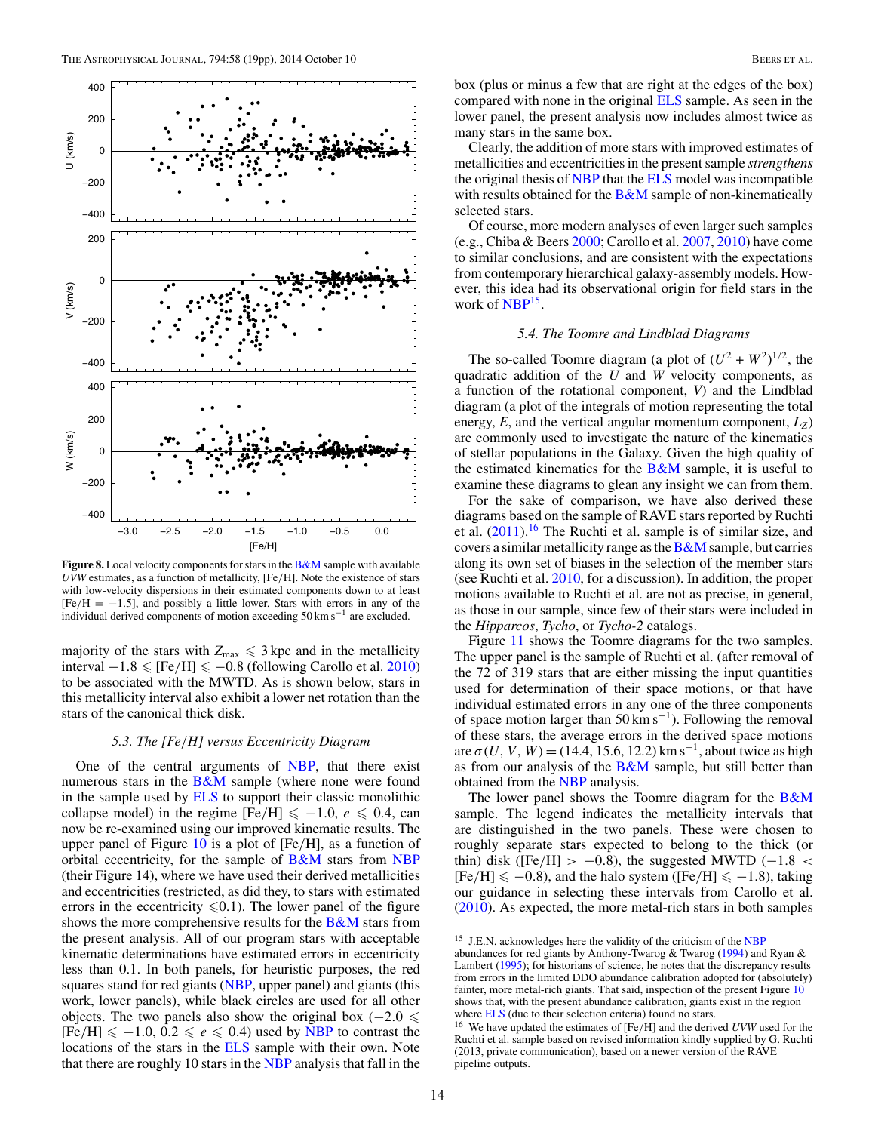<span id="page-13-0"></span>

**Figure 8.** Local velocity components for stars in the **[B&M](#page-18-0)** sample with available *UVW* estimates, as a function of metallicity, [Fe*/*H]. Note the existence of stars with low-velocity dispersions in their estimated components down to at least [Fe*/*H = −1*.*5], and possibly a little lower. Stars with errors in any of the individual derived components of motion exceeding 50 km s−<sup>1</sup> are excluded.

majority of the stars with  $Z_{\text{max}} \leq 3$  kpc and in the metallicity  $interval -1.8 \leq [Fe/H] \leq -0.8$  (following Carollo et al. [2010\)](#page-18-0) to be associated with the MWTD. As is shown below, stars in this metallicity interval also exhibit a lower net rotation than the stars of the canonical thick disk.

#### *5.3. The [Fe/H] versus Eccentricity Diagram*

One of the central arguments of [NBP,](#page-18-0) that there exist numerous stars in the  $B\&M$  sample (where none were found in the sample used by [ELS](#page-18-0) to support their classic monolithic collapse model) in the regime  $[Fe/H] \le -1.0$ ,  $e \le 0.4$ , can now be re-examined using our improved kinematic results. The upper panel of Figure [10](#page-14-0) is a plot of [Fe*/*H], as a function of orbital eccentricity, for the sample of [B&M](#page-18-0) stars from [NBP](#page-18-0) (their Figure 14), where we have used their derived metallicities and eccentricities (restricted, as did they, to stars with estimated errors in the eccentricity  $\leq 0.1$ ). The lower panel of the figure shows the more comprehensive results for the  $B\&M$  stars from the present analysis. All of our program stars with acceptable kinematic determinations have estimated errors in eccentricity less than 0.1. In both panels, for heuristic purposes, the red squares stand for red giants [\(NBP,](#page-18-0) upper panel) and giants (this work, lower panels), while black circles are used for all other objects. The two panels also show the original box  $(-2.0 \le$  $[Fe/H] \le -1.0, 0.2 \le e \le 0.4$  used by [NBP](#page-18-0) to contrast the locations of the stars in the **[ELS](#page-18-0)** sample with their own. Note that there are roughly 10 stars in the [NBP](#page-18-0) analysis that fall in the

box (plus or minus a few that are right at the edges of the box) compared with none in the original [ELS](#page-18-0) sample. As seen in the lower panel, the present analysis now includes almost twice as many stars in the same box.

Clearly, the addition of more stars with improved estimates of metallicities and eccentricities in the present sample *strengthens* the original thesis of [NBP](#page-18-0) that the [ELS](#page-18-0) model was incompatible with results obtained for the  $B\&M$  sample of non-kinematically selected stars.

Of course, more modern analyses of even larger such samples (e.g., Chiba & Beers [2000;](#page-18-0) Carollo et al. [2007,](#page-18-0) [2010\)](#page-18-0) have come to similar conclusions, and are consistent with the expectations from contemporary hierarchical galaxy-assembly models. However, this idea had its observational origin for field stars in the work of NBP<sup>15</sup>.

#### *5.4. The Toomre and Lindblad Diagrams*

The so-called Toomre diagram (a plot of  $(U^2 + W^2)^{1/2}$ , the quadratic addition of the *U* and *W* velocity components, as a function of the rotational component, *V*) and the Lindblad diagram (a plot of the integrals of motion representing the total energy,  $E$ , and the vertical angular momentum component,  $L_z$ ) are commonly used to investigate the nature of the kinematics of stellar populations in the Galaxy. Given the high quality of the estimated kinematics for the  $B\&M$  sample, it is useful to examine these diagrams to glean any insight we can from them.

For the sake of comparison, we have also derived these diagrams based on the sample of RAVE stars reported by Ruchti et al.  $(2011)$ .<sup>16</sup> The Ruchti et al. sample is of similar size, and covers a similar metallicity range as the  $B\&M$  sample, but carries along its own set of biases in the selection of the member stars (see Ruchti et al. [2010,](#page-18-0) for a discussion). In addition, the proper motions available to Ruchti et al. are not as precise, in general, as those in our sample, since few of their stars were included in the *Hipparcos*, *Tycho*, or *Tycho-2* catalogs.

Figure [11](#page-15-0) shows the Toomre diagrams for the two samples. The upper panel is the sample of Ruchti et al. (after removal of the 72 of 319 stars that are either missing the input quantities used for determination of their space motions, or that have individual estimated errors in any one of the three components of space motion larger than  $50 \text{ km s}^{-1}$ ). Following the removal of these stars, the average errors in the derived space motions are  $\sigma(U, V, W) = (14.4, 15.6, 12.2)$  km s<sup>-1</sup>, about twice as high as from our analysis of the  $B\&M$  sample, but still better than obtained from the [NBP](#page-18-0) analysis.

The lower panel shows the Toomre diagram for the [B&M](#page-18-0) sample. The legend indicates the metallicity intervals that are distinguished in the two panels. These were chosen to roughly separate stars expected to belong to the thick (or thin) disk ([Fe*/*H] *>* −0*.*8), the suggested MWTD (−1*.*8 *<*  $[Fe/H] \le -0.8$ ), and the halo system ( $[Fe/H] \le -1.8$ ), taking our guidance in selecting these intervals from Carollo et al. [\(2010\)](#page-18-0). As expected, the more metal-rich stars in both samples

<sup>15</sup> J.E.N. acknowledges here the validity of the criticism of the [NBP](#page-18-0)

abundances for red giants by Anthony-Twarog & Twarog [\(1994\)](#page-18-0) and Ryan & Lambert [\(1995\)](#page-18-0); for historians of science, he notes that the discrepancy results from errors in the limited DDO abundance calibration adopted for (absolutely) fainter, more metal-rich giants. That said, inspection of the present Figure [10](#page-14-0) shows that, with the present abundance calibration, giants exist in the region where **[ELS](#page-18-0)** (due to their selection criteria) found no stars.

<sup>16</sup> We have updated the estimates of [Fe*/*H] and the derived *UVW* used for the Ruchti et al. sample based on revised information kindly supplied by G. Ruchti (2013, private communication), based on a newer version of the RAVE pipeline outputs.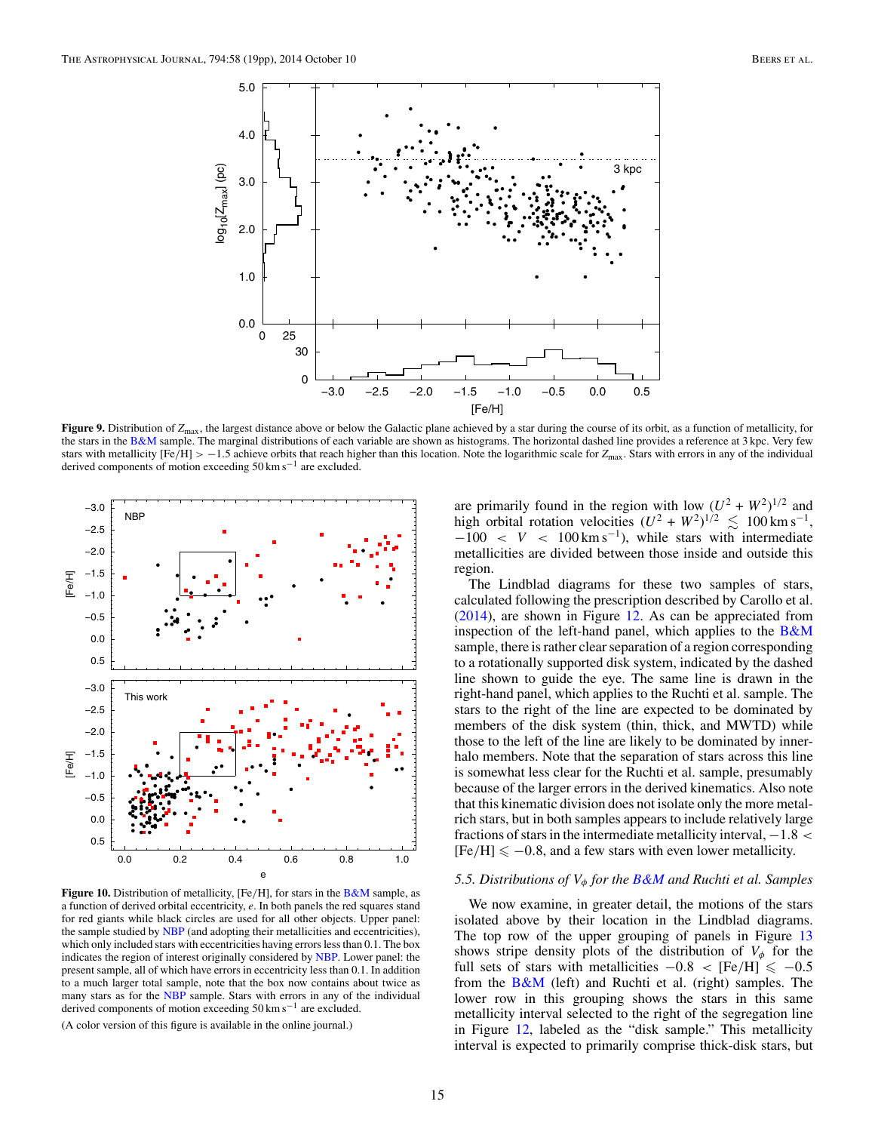<span id="page-14-0"></span>

**Figure 9.** Distribution of  $Z_{\text{max}}$ , the largest distance above or below the Galactic plane achieved by a star during the course of its orbit, as a function of metallicity, for the stars in the [B&M](#page-18-0) sample. The marginal distributions of each variable are shown as histograms. The horizontal dashed line provides a reference at 3 kpc. Very few stars with metallicity  $[Fe/H] > -1.5$  achieve orbits that reach higher than this location. Note the logarithmic scale for  $Z_{\text{max}}$ . Stars with errors in any of the individual derived components of motion exceeding 50 km s−<sup>1</sup> are excluded.



**Figure 10.** Distribution of metallicity, [Fe*/*H], for stars in the [B&M](#page-18-0) sample, as a function of derived orbital eccentricity, *e*. In both panels the red squares stand for red giants while black circles are used for all other objects. Upper panel: the sample studied by [NBP](#page-18-0) (and adopting their metallicities and eccentricities), which only included stars with eccentricities having errors less than 0.1. The box indicates the region of interest originally considered by [NBP.](#page-18-0) Lower panel: the present sample, all of which have errors in eccentricity less than 0.1. In addition to a much larger total sample, note that the box now contains about twice as many stars as for the [NBP](#page-18-0) sample. Stars with errors in any of the individual derived components of motion exceeding 50 km s−<sup>1</sup> are excluded.

(A color version of this figure is available in the online journal.)

are primarily found in the region with low  $(U^2 + W^2)^{1/2}$  and high orbital rotation velocities  $(U^2 + W^2)^{1/2} \le 100 \text{ km s}^{-1}$ ,  $-100 < V < 100 \,\mathrm{km\,s^{-1}}$ ), while stars with intermediate metallicities are divided between those inside and outside this region.

The Lindblad diagrams for these two samples of stars, calculated following the prescription described by Carollo et al. [\(2014\)](#page-18-0), are shown in Figure [12.](#page-16-0) As can be appreciated from inspection of the left-hand panel, which applies to the  $B\&M$ sample, there is rather clear separation of a region corresponding to a rotationally supported disk system, indicated by the dashed line shown to guide the eye. The same line is drawn in the right-hand panel, which applies to the Ruchti et al. sample. The stars to the right of the line are expected to be dominated by members of the disk system (thin, thick, and MWTD) while those to the left of the line are likely to be dominated by innerhalo members. Note that the separation of stars across this line is somewhat less clear for the Ruchti et al. sample, presumably because of the larger errors in the derived kinematics. Also note that this kinematic division does not isolate only the more metalrich stars, but in both samples appears to include relatively large fractions of stars in the intermediate metallicity interval, −1*.*8 *<*  $[Fe/H] \le -0.8$ , and a few stars with even lower metallicity.

## *5.5. Distributions of Vφ for the [B&M](#page-18-0) and Ruchti et al. Samples*

We now examine, in greater detail, the motions of the stars isolated above by their location in the Lindblad diagrams. The top row of the upper grouping of panels in Figure [13](#page-17-0) shows stripe density plots of the distribution of  $V_{\phi}$  for the full sets of stars with metallicities  $-0.8 < [Fe/H] \le -0.5$ from the [B&M](#page-18-0) (left) and Ruchti et al. (right) samples. The lower row in this grouping shows the stars in this same metallicity interval selected to the right of the segregation line in Figure [12,](#page-16-0) labeled as the "disk sample." This metallicity interval is expected to primarily comprise thick-disk stars, but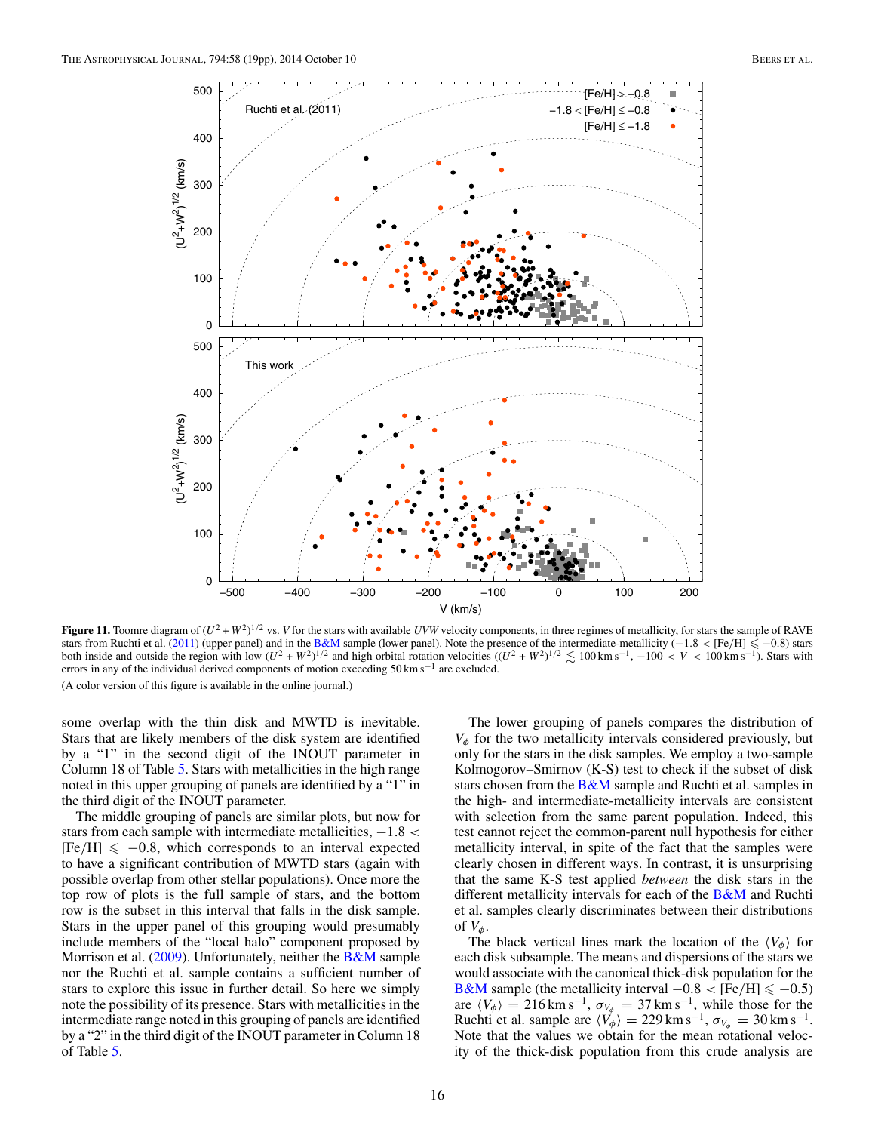<span id="page-15-0"></span>

**Figure 11.** Toomre diagram of  $(U^2 + W^2)^{1/2}$  vs. *V* for the stars with available *UVW* velocity components, in three regimes of metallicity, for stars the sample of RAVE stars from Ruchti et al. [\(2011\)](#page-18-0) (upper panel) and in the [B&M](#page-18-0) sample (lower panel). Note the presence of the intermediate-metallicity  $(-1.8 < [Fe/H] \le -0.8)$  stars with low  $(U^2 + W^2)^{1/2}$  and high orbital rotation velocities errors in any of the individual derived components of motion exceeding 50 km s−<sup>1</sup> are excluded. (A color version of this figure is available in the online journal.)

some overlap with the thin disk and MWTD is inevitable. Stars that are likely members of the disk system are identified by a "1" in the second digit of the INOUT parameter in Column 18 of Table [5.](#page-12-0) Stars with metallicities in the high range noted in this upper grouping of panels are identified by a "1" in the third digit of the INOUT parameter.

The middle grouping of panels are similar plots, but now for stars from each sample with intermediate metallicities, −1*.*8 *<*  $[Fe/H] \le -0.8$ , which corresponds to an interval expected to have a significant contribution of MWTD stars (again with possible overlap from other stellar populations). Once more the top row of plots is the full sample of stars, and the bottom row is the subset in this interval that falls in the disk sample. Stars in the upper panel of this grouping would presumably include members of the "local halo" component proposed by Morrison et al. [\(2009\)](#page-18-0). Unfortunately, neither the [B&M](#page-18-0) sample nor the Ruchti et al. sample contains a sufficient number of stars to explore this issue in further detail. So here we simply note the possibility of its presence. Stars with metallicities in the intermediate range noted in this grouping of panels are identified by a "2" in the third digit of the INOUT parameter in Column 18 of Table [5.](#page-12-0)

The lower grouping of panels compares the distribution of *Vφ* for the two metallicity intervals considered previously, but only for the stars in the disk samples. We employ a two-sample Kolmogorov–Smirnov (K-S) test to check if the subset of disk stars chosen from the  $B\&M$  sample and Ruchti et al. samples in the high- and intermediate-metallicity intervals are consistent with selection from the same parent population. Indeed, this test cannot reject the common-parent null hypothesis for either metallicity interval, in spite of the fact that the samples were clearly chosen in different ways. In contrast, it is unsurprising that the same K-S test applied *between* the disk stars in the different metallicity intervals for each of the [B&M](#page-18-0) and Ruchti et al. samples clearly discriminates between their distributions of  $V_{\phi}$ .

The black vertical lines mark the location of the  $\langle V_{\phi} \rangle$  for each disk subsample. The means and dispersions of the stars we would associate with the canonical thick-disk population for the  $B&M$  sample (the metallicity interval  $-0.8 < [Fe/H] \le -0.5$ ) are  $\langle V_{\phi} \rangle = 216 \text{ km s}^{-1}, \sigma_{V_{\phi}} = 37 \text{ km s}^{-1},$  while those for the Ruchti et al. sample are  $\langle V_{\phi} \rangle = 229 \text{ km s}^{-1}$ ,  $\sigma_{V_{\phi}} = 30 \text{ km s}^{-1}$ . Note that the values we obtain for the mean rotational velocity of the thick-disk population from this crude analysis are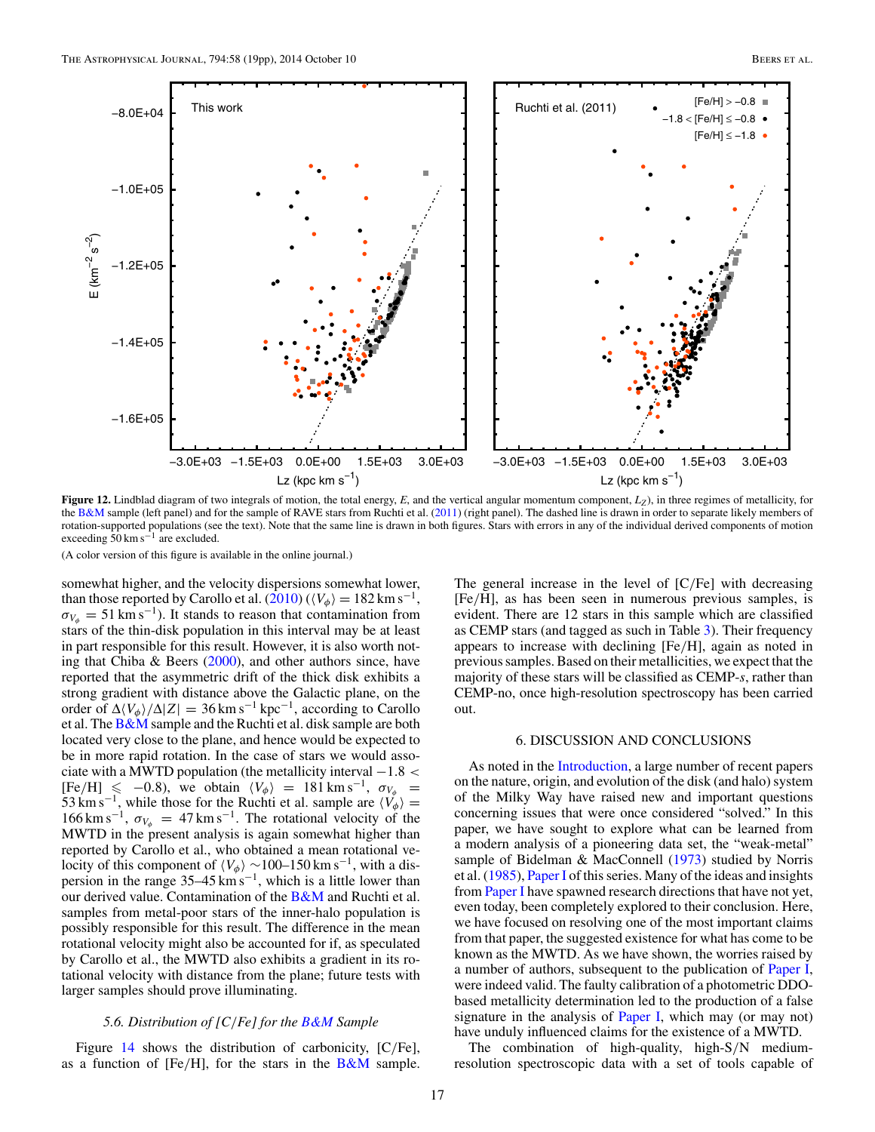<span id="page-16-0"></span>

**Figure 12.** Lindblad diagram of two integrals of motion, the total energy, *E*, and the vertical angular momentum component, *L<sub>Z</sub>*), in three regimes of metallicity, for the [B&M](#page-18-0) sample (left panel) and for the sample of RAVE stars from Ruchti et al. [\(2011\)](#page-18-0) (right panel). The dashed line is drawn in order to separate likely members of rotation-supported populations (see the text). Note that the same line is drawn in both figures. Stars with errors in any of the individual derived components of motion exceeding  $50 \text{ km s}^{-1}$  are excluded.

(A color version of this figure is available in the online journal.)

somewhat higher, and the velocity dispersions somewhat lower, than those reported by Carollo et al.  $(2010)$  ( $\langle V_{\phi} \rangle = 182 \,\mathrm{km \, s^{-1}}$ ,  $\sigma_{V_0} = 51 \text{ km s}^{-1}$ ). It stands to reason that contamination from stars of the thin-disk population in this interval may be at least in part responsible for this result. However, it is also worth noting that Chiba & Beers  $(2000)$ , and other authors since, have reported that the asymmetric drift of the thick disk exhibits a strong gradient with distance above the Galactic plane, on the order of  $\Delta \langle V_{\phi} \rangle / \Delta |Z| = 36 \text{ km s}^{-1} \text{ kpc}^{-1}$ , according to Carollo et al. The [B&M](#page-18-0) sample and the Ruchti et al. disk sample are both located very close to the plane, and hence would be expected to be in more rapid rotation. In the case of stars we would associate with a MWTD population (the metallicity interval −1*.*8 *<*  $[Fe/H] \le -0.8$ , we obtain  $\langle V_{\phi} \rangle = 181 \text{ km s}^{-1}$ ,  $\sigma_{V_{\phi}} = 5.7$ 53 km s<sup>−1</sup>, while those for the Ruchti et al. sample are  $\langle V_{\phi} \rangle =$  $166 \text{ km s}^{-1}$ ,  $\sigma_{V_{\phi}} = 47 \text{ km s}^{-1}$ . The rotational velocity of the MWTD in the present analysis is again somewhat higher than reported by Carollo et al., who obtained a mean rotational velocity of this component of  $\langle V_φ \rangle \sim 100-150 \text{ km s}^{-1}$ , with a dispersion in the range 35–45 km s<sup>-1</sup>, which is a little lower than our derived value. Contamination of the  $B\&M$  and Ruchti et al. samples from metal-poor stars of the inner-halo population is possibly responsible for this result. The difference in the mean rotational velocity might also be accounted for if, as speculated by Carollo et al., the MWTD also exhibits a gradient in its rotational velocity with distance from the plane; future tests with larger samples should prove illuminating.

### *5.6. Distribution of [C/Fe] for the [B&M](#page-18-0) Sample*

Figure [14](#page-17-0) shows the distribution of carbonicity, [C*/*Fe], as a function of [Fe*/*H], for the stars in the [B&M](#page-18-0) sample.

The general increase in the level of [C*/*Fe] with decreasing [Fe*/*H], as has been seen in numerous previous samples, is evident. There are 12 stars in this sample which are classified as CEMP stars (and tagged as such in Table [3\)](#page-6-0). Their frequency appears to increase with declining [Fe*/*H], again as noted in previous samples. Based on their metallicities, we expect that the majority of these stars will be classified as CEMP-*s*, rather than CEMP-no, once high-resolution spectroscopy has been carried out.

### 6. DISCUSSION AND CONCLUSIONS

As noted in the [Introduction,](#page-0-0) a large number of recent papers on the nature, origin, and evolution of the disk (and halo) system of the Milky Way have raised new and important questions concerning issues that were once considered "solved." In this paper, we have sought to explore what can be learned from a modern analysis of a pioneering data set, the "weak-metal" sample of Bidelman & MacConnell [\(1973\)](#page-18-0) studied by Norris et al. [\(1985\)](#page-18-0), [Paper I](#page-18-0) of this series. Many of the ideas and insights from [Paper I](#page-18-0) have spawned research directions that have not yet, even today, been completely explored to their conclusion. Here, we have focused on resolving one of the most important claims from that paper, the suggested existence for what has come to be known as the MWTD. As we have shown, the worries raised by a number of authors, subsequent to the publication of [Paper I,](#page-18-0) were indeed valid. The faulty calibration of a photometric DDObased metallicity determination led to the production of a false signature in the analysis of  $Paper I$ , which may (or may not) have unduly influenced claims for the existence of a MWTD.

The combination of high-quality, high-S*/*N mediumresolution spectroscopic data with a set of tools capable of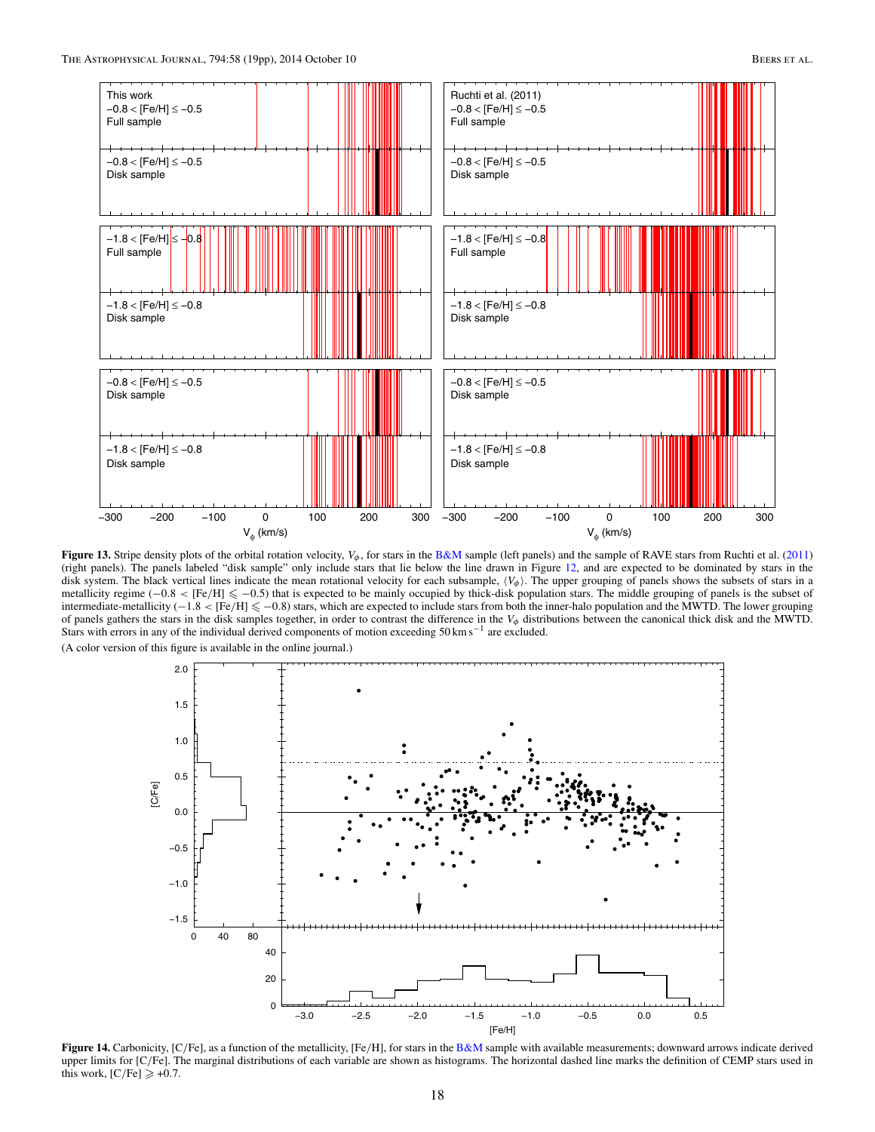<span id="page-17-0"></span>

**Figure 13.** Stripe density plots of the orbital rotation velocity,  $V_{\phi}$ , for stars in the [B&M](#page-18-0) sample (left panels) and the sample of RAVE stars from Ruchti et al. [\(2011\)](#page-18-0) (right panels). The panels labeled "disk sample" only include stars that lie below the line drawn in Figure [12,](#page-16-0) and are expected to be dominated by stars in the disk system. The black vertical lines indicate the mean rotational velocity for each subsample,  $\langle V_{\phi} \rangle$ . The upper grouping of panels shows the subsets of stars in a metallicity regime (−0.8 < [Fe/H]  $\leq$  −0.5) that is expected to be mainly occupied by thick-disk population stars. The middle grouping of panels is the subset of intermediate-metallicity (−1*.*8 *<* [Fe*/*H] −0*.*8) stars, which are expected to include stars from both the inner-halo population and the MWTD. The lower grouping of panels gathers the stars in the disk samples together, in order to contrast the difference in the *Vφ* distributions between the canonical thick disk and the MWTD. Stars with errors in any of the individual derived components of motion exceeding 50 km s<sup>−1</sup> are excluded.



**Figure 14.** Carbonicity, [C*/*Fe], as a function of the metallicity, [Fe*/*H], for stars in the [B&M](#page-18-0) sample with available measurements; downward arrows indicate derived upper limits for [C/Fe]. The marginal distributions of each variable are shown as histograms. The horizontal dashed line marks the definition of CEMP stars used in this work,  $[C/Fe] \geqslant +0.7$ .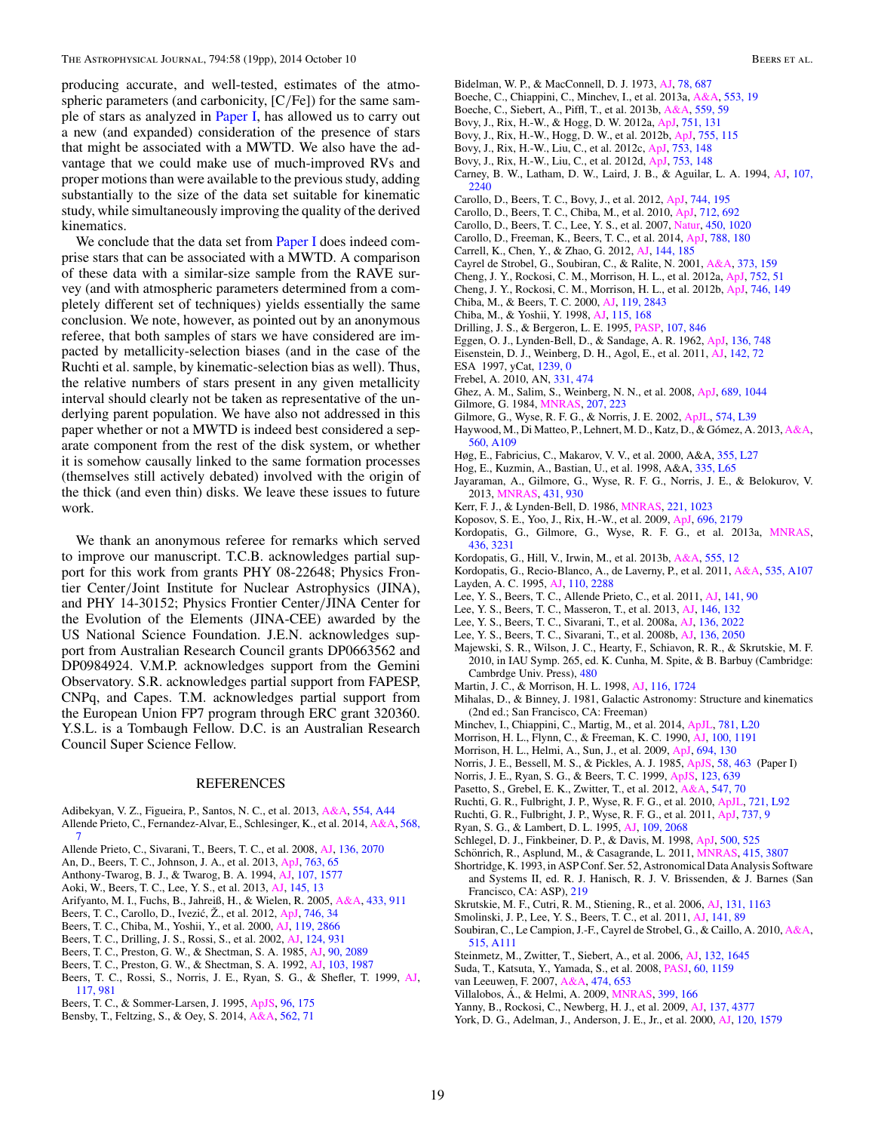<span id="page-18-0"></span>producing accurate, and well-tested, estimates of the atmospheric parameters (and carbonicity, [C*/*Fe]) for the same sample of stars as analyzed in Paper I, has allowed us to carry out a new (and expanded) consideration of the presence of stars that might be associated with a MWTD. We also have the advantage that we could make use of much-improved RVs and proper motions than were available to the previous study, adding substantially to the size of the data set suitable for kinematic study, while simultaneously improving the quality of the derived kinematics.

We conclude that the data set from  $\frac{Paper I}{~}$  does indeed comprise stars that can be associated with a MWTD. A comparison of these data with a similar-size sample from the RAVE survey (and with atmospheric parameters determined from a completely different set of techniques) yields essentially the same conclusion. We note, however, as pointed out by an anonymous referee, that both samples of stars we have considered are impacted by metallicity-selection biases (and in the case of the Ruchti et al. sample, by kinematic-selection bias as well). Thus, the relative numbers of stars present in any given metallicity interval should clearly not be taken as representative of the underlying parent population. We have also not addressed in this paper whether or not a MWTD is indeed best considered a separate component from the rest of the disk system, or whether it is somehow causally linked to the same formation processes (themselves still actively debated) involved with the origin of the thick (and even thin) disks. We leave these issues to future work.

We thank an anonymous referee for remarks which served to improve our manuscript. T.C.B. acknowledges partial support for this work from grants PHY 08-22648; Physics Frontier Center*/*Joint Institute for Nuclear Astrophysics (JINA), and PHY 14-30152; Physics Frontier Center*/*JINA Center for the Evolution of the Elements (JINA-CEE) awarded by the US National Science Foundation. J.E.N. acknowledges support from Australian Research Council grants DP0663562 and DP0984924. V.M.P. acknowledges support from the Gemini Observatory. S.R. acknowledges partial support from FAPESP, CNPq, and Capes. T.M. acknowledges partial support from the European Union FP7 program through ERC grant 320360. Y.S.L. is a Tombaugh Fellow. D.C. is an Australian Research Council Super Science Fellow.

#### REFERENCES

- Adibekyan, V. Z., Figueira, P., Santos, N. C., et al. 2013, [A&A,](http://dx.doi.org/10.1051/0004-6361/201321520) [554, A44](http://adsabs.harvard.edu/abs/2013A&A...554A..44A) Allende Prieto, C., Fernandez-Alvar, E., Schlesinger, K., et al. 2014, [A&A,](http://dx.doi.org/10.1051/0004-6361/201424053) [568,](http://adsabs.harvard.edu/abs/2014A&A...568A...7A) [7](http://adsabs.harvard.edu/abs/2014A&A...568A...7A)
- Allende Prieto, C., Sivarani, T., Beers, T. C., et al. 2008, [AJ,](http://dx.doi.org/10.1088/0004-6256/136/5/2070) [136, 2070](http://adsabs.harvard.edu/abs/2008AJ....136.2070A)
- An, D., Beers, T. C., Johnson, J. A., et al. 2013, [ApJ,](http://dx.doi.org/10.1088/0004-637X/763/1/65) [763, 65](http://adsabs.harvard.edu/abs/2013ApJ...763...65A)
- Anthony-Twarog, B. J., & Twarog, B. A. 1994, [AJ,](http://dx.doi.org/10.1086/116969) [107, 1577](http://adsabs.harvard.edu/abs/1994AJ....107.1577A)
- Aoki, W., Beers, T. C., Lee, Y. S., et al. 2013, [AJ,](http://dx.doi.org/10.1088/0004-6256/145/1/13) [145, 13](http://adsabs.harvard.edu/abs/2013AJ....145...13A)
- Arifyanto, M. I., Fuchs, B., Jahreiß, H., & Wielen, R. 2005, [A&A,](http://dx.doi.org/10.1051/0004-6361:20035829) [433, 911](http://adsabs.harvard.edu/abs/2005A&A...433..911A)
- Beers, T. C., Carollo, D., Ivezić, Ž., et al. 2012, [ApJ,](http://dx.doi.org/10.1088/0004-637X/746/1/34) [746, 34](http://adsabs.harvard.edu/abs/2012ApJ...746...34B)
- Beers, T. C., Chiba, M., Yoshii, Y., et al. 2000, [AJ,](http://dx.doi.org/10.1086/301410) [119, 2866](http://adsabs.harvard.edu/abs/2000AJ....119.2866B)
- Beers, T. C., Drilling, J. S., Rossi, S., et al. 2002, [AJ,](http://dx.doi.org/10.1086/341377) [124, 931](http://adsabs.harvard.edu/abs/2002AJ....124..931B)
- Beers, T. C., Preston, G. W., & Shectman, S. A. 1985, [AJ,](http://dx.doi.org/10.1086/113917) [90, 2089](http://adsabs.harvard.edu/abs/1985AJ.....90.2089B)
- Beers, T. C., Preston, G. W., & Shectman, S. A. 1992, [AJ,](http://dx.doi.org/10.1086/116207) [103, 1987](http://adsabs.harvard.edu/abs/1992AJ....103.1987B)
- Beers, T. C., Rossi, S., Norris, J. E., Ryan, S. G., & Shefler, T. 1999, [AJ,](http://dx.doi.org/10.1086/300727) [117, 981](http://adsabs.harvard.edu/abs/1999AJ....117..981B)
- Beers, T. C., & Sommer-Larsen, J. 1995, [ApJS,](http://dx.doi.org/10.1086/192117) [96, 175](http://adsabs.harvard.edu/abs/1995ApJS...96..175B)
- Bensby, T., Feltzing, S., & Oey, S. 2014, [A&A,](http://dx.doi.org/10.1051/0004-6361/201322631) [562, 71](http://adsabs.harvard.edu/abs/2014A&A...562A..71B)
- Bidelman, W. P., & MacConnell, D. J. 1973, [AJ,](http://dx.doi.org/10.1086/111475) [78, 687](http://adsabs.harvard.edu/abs/1973AJ.....78..687B)
- Boeche, C., Chiappini, C., Minchev, I., et al. 2013a, [A&A,](http://dx.doi.org/10.1051/0004-6361/201219607) [553, 19](http://adsabs.harvard.edu/abs/2013A&A...553A..19B)
- Boeche, C., Siebert, A., Piffl, T., et al. 2013b, [A&A,](http://dx.doi.org/10.1051/0004-6361/201322085) [559, 59](http://adsabs.harvard.edu/abs/2013A&A...559A..59B)
- Bovy, J., Rix, H.-W., & Hogg, D. W. 2012a, [ApJ,](http://dx.doi.org/10.1088/0004-637X/751/2/131) [751, 131](http://adsabs.harvard.edu/abs/2012ApJ...751..131B)
- Bovy, J., Rix, H.-W., Hogg, D. W., et al. 2012b, [ApJ,](http://dx.doi.org/10.1088/0004-637X/755/2/115) [755, 115](http://adsabs.harvard.edu/abs/2012ApJ...755..115B)
- Bovy, J., Rix, H.-W., Liu, C., et al. 2012c, [ApJ,](http://dx.doi.org/10.1088/0004-637X/753/2/148) [753, 148](http://adsabs.harvard.edu/abs/2012ApJ...753..148B)
- Bovy, J., Rix, H.-W., Liu, C., et al. 2012d, [ApJ,](http://dx.doi.org/10.1088/0004-637X/753/2/148) [753, 148](http://adsabs.harvard.edu/abs/2012ApJ...753..148B)
- Carney, B. W., Latham, D. W., Laird, J. B., & Aguilar, L. A. 1994, [AJ,](http://dx.doi.org/10.1086/117035) [107,](http://adsabs.harvard.edu/abs/1994AJ....107.2240C) [2240](http://adsabs.harvard.edu/abs/1994AJ....107.2240C)
- Carollo, D., Beers, T. C., Bovy, J., et al. 2012, [ApJ,](http://dx.doi.org/10.1088/0004-637X/744/2/195) [744, 195](http://adsabs.harvard.edu/abs/2012ApJ...744..195C)
- Carollo, D., Beers, T. C., Chiba, M., et al. 2010, [ApJ,](http://dx.doi.org/10.1088/0004-637X/712/1/692) [712, 692](http://adsabs.harvard.edu/abs/2010ApJ...712..692C)
- Carollo, D., Beers, T. C., Lee, Y. S., et al. 2007, [Natur,](http://dx.doi.org/10.1038/nature06460) [450, 1020](http://adsabs.harvard.edu/abs/2007Natur.450.1020C)
- Carollo, D., Freeman, K., Beers, T. C., et al. 2014, [ApJ,](http://dx.doi.org/10.1088/0004-637X/788/2/180) [788, 180](http://adsabs.harvard.edu/abs/2014ApJ...788..180C)
- Carrell, K., Chen, Y., & Zhao, G. 2012, [AJ,](http://dx.doi.org/10.1088/0004-6256/144/6/185) [144, 185](http://adsabs.harvard.edu/abs/2012AJ....144..185C)
- Cayrel de Strobel, G., Soubiran, C., & Ralite, N. 2001, [A&A,](http://dx.doi.org/10.1051/0004-6361:20010525) [373, 159](http://adsabs.harvard.edu/abs/2001A&A...373..159C)
- Cheng, J. Y., Rockosi, C. M., Morrison, H. L., et al. 2012a, [ApJ,](http://dx.doi.org/10.1088/0004-637X/752/1/51) [752, 51](http://adsabs.harvard.edu/abs/2012ApJ...752...51C)
- Cheng, J. Y., Rockosi, C. M., Morrison, H. L., et al. 2012b, [ApJ,](http://dx.doi.org/10.1088/0004-637X/746/2/149) [746, 149](http://adsabs.harvard.edu/abs/2012ApJ...746..149C)
- Chiba, M., & Beers, T. C. 2000, [AJ,](http://dx.doi.org/10.1086/301409) [119, 2843](http://adsabs.harvard.edu/abs/2000AJ....119.2843C)
- Chiba, M., & Yoshii, Y. 1998, [AJ,](http://dx.doi.org/10.1086/300177) [115, 168](http://adsabs.harvard.edu/abs/1998AJ....115..168C)
- Drilling, J. S., & Bergeron, L. E. 1995, [PASP,](http://dx.doi.org/10.1086/133631) [107, 846](http://adsabs.harvard.edu/abs/1995PASP..107..846D)
- Eggen, O. J., Lynden-Bell, D., & Sandage, A. R. 1962, [ApJ,](http://dx.doi.org/10.1086/147433) [136, 748](http://adsabs.harvard.edu/abs/1962ApJ...136..748E)
- Eisenstein, D. J., Weinberg, D. H., Agol, E., et al. 2011, [AJ,](http://dx.doi.org/10.1088/0004-6256/142/3/72) [142, 72](http://adsabs.harvard.edu/abs/2011AJ....142...72E)
- ESA 1997, yCat, [1239, 0](http://adsabs.harvard.edu/abs/1997yCat.1239....0E)
- Frebel, A. 2010, AN, [331, 474](http://adsabs.harvard.edu/abs/2010AN....331..474F)
- Ghez, A. M., Salim, S., Weinberg, N. N., et al. 2008, [ApJ,](http://dx.doi.org/10.1086/592738) [689, 1044](http://adsabs.harvard.edu/abs/2008ApJ...689.1044G) Gilmore, G. 1984, [MNRAS,](http://dx.doi.org/10.1093/mnras/207.2.223) [207, 223](http://adsabs.harvard.edu/abs/1984MNRAS.207..223G)
- Gilmore, G., Wyse, R. F. G., & Norris, J. E. 2002, [ApJL,](http://dx.doi.org/10.1086/342363) [574, L39](http://adsabs.harvard.edu/abs/2002ApJ...574L..39G)
- Haywood, M., Di Matteo, P., Lehnert, M. D., Katz, D., & Gómez, A. 2013, [A&A,](http://dx.doi.org/10.1051/0004-6361/201321397) [560, A109](http://adsabs.harvard.edu/abs/2013A&A...560A.109H)
- Høg, E., Fabricius, C., Makarov, V. V., et al. 2000, A&A, [355, L27](http://adsabs.harvard.edu/abs/2000A&A...355L..27H)
- Hog, E., Kuzmin, A., Bastian, U., et al. 1998, A&A, [335, L65](http://adsabs.harvard.edu/abs/1998A&A...335L..65H)
- Jayaraman, A., Gilmore, G., Wyse, R. F. G., Norris, J. E., & Belokurov, V. 2013, [MNRAS,](http://dx.doi.org/10.1093/mnras/stt221) [431, 930](http://adsabs.harvard.edu/abs/2013MNRAS.431..930J)
- Kerr, F. J., & Lynden-Bell, D. 1986, [MNRAS,](http://dx.doi.org/10.1093/mnras/221.4.1023) [221, 1023](http://adsabs.harvard.edu/abs/1986MNRAS.221.1023K)
- Koposov, S. E., Yoo, J., Rix, H.-W., et al. 2009, [ApJ,](http://dx.doi.org/10.1088/0004-637X/696/2/2179) [696, 2179](http://adsabs.harvard.edu/abs/2009ApJ...696.2179K)
- Kordopatis, G., Gilmore, G., Wyse, R. F. G., et al. 2013a, [MNRAS,](http://dx.doi.org/10.1093/mnras/stt1804) [436, 3231](http://adsabs.harvard.edu/abs/2013MNRAS.436.3231K)
- Kordopatis, G., Hill, V., Irwin, M., et al. 2013b, [A&A,](http://dx.doi.org/10.1051/0004-6361/201321470) [555, 12](http://adsabs.harvard.edu/abs/2013A&A...555A..12K)
- Kordopatis, G., Recio-Blanco, A., de Laverny, P., et al. 2011, [A&A,](http://dx.doi.org/10.1051/0004-6361/201117373) [535, A107](http://adsabs.harvard.edu/abs/2011A&A...535A.107K) Layden, A. C. 1995, [AJ,](http://dx.doi.org/10.1086/117690) [110, 2288](http://adsabs.harvard.edu/abs/1995AJ....110.2288L)
- Lee, Y. S., Beers, T. C., Allende Prieto, C., et al. 2011, [AJ,](http://dx.doi.org/10.1088/0004-6256/141/3/90) [141, 90](http://adsabs.harvard.edu/abs/2011AJ....141...90L)
- Lee, Y. S., Beers, T. C., Masseron, T., et al. 2013, [AJ,](http://dx.doi.org/10.1088/0004-6256/146/5/132) [146, 132](http://adsabs.harvard.edu/abs/2013AJ....146..132L)
- Lee, Y. S., Beers, T. C., Sivarani, T., et al. 2008a, [AJ,](http://dx.doi.org/10.1088/0004-6256/136/5/2022) [136, 2022](http://adsabs.harvard.edu/abs/2008AJ....136.2022L)
- Lee, Y. S., Beers, T. C., Sivarani, T., et al. 2008b, [AJ,](http://dx.doi.org/10.1088/0004-6256/136/5/2050) [136, 2050](http://adsabs.harvard.edu/abs/2008AJ....136.2050L)
- Majewski, S. R., Wilson, J. C., Hearty, F., Schiavon, R. R., & Skrutskie, M. F. 2010, in IAU Symp. 265, ed. K. Cunha, M. Spite, & B. Barbuy (Cambridge: Cambrdge Univ. Press), [480](http://adsabs.harvard.edu/abs/2010IAUS..265..480M)
- Martin, J. C., & Morrison, H. L. 1998, [AJ,](http://dx.doi.org/10.1086/300568) [116, 1724](http://adsabs.harvard.edu/abs/1998AJ....116.1724M)
- Mihalas, D., & Binney, J. 1981, Galactic Astronomy: Structure and kinematics (2nd ed.; San Francisco, CA: Freeman)
- Minchev, I., Chiappini, C., Martig, M., et al. 2014, [ApJL,](http://dx.doi.org/10.1088/2041-8205/781/1/L20) [781, L20](http://adsabs.harvard.edu/abs/2014ApJ...781L..20M)
- Morrison, H. L., Flynn, C., & Freeman, K. C. 1990, [AJ,](http://dx.doi.org/10.1086/115587) [100, 1191](http://adsabs.harvard.edu/abs/1990AJ....100.1191M)
- Morrison, H. L., Helmi, A., Sun, J., et al. 2009, [ApJ,](http://dx.doi.org/10.1088/0004-637X/694/1/130) [694, 130](http://adsabs.harvard.edu/abs/2009ApJ...694..130M)
- Norris, J. E., Bessell, M. S., & Pickles, A. J. 1985, [ApJS,](http://dx.doi.org/10.1086/191049) [58, 463](http://adsabs.harvard.edu/abs/1985ApJS...58..463N) (Paper I)
- Norris, J. E., Ryan, S. G., & Beers, T. C. 1999, [ApJS,](http://dx.doi.org/10.1086/313248) [123, 639](http://adsabs.harvard.edu/abs/1999ApJS..123..639N)
- Pasetto, S., Grebel, E. K., Zwitter, T., et al. 2012, [A&A,](http://dx.doi.org/10.1051/0004-6361/201219464) [547, 70](http://adsabs.harvard.edu/abs/2012A&A...547A..70P)
- Ruchti, G. R., Fulbright, J. P., Wyse, R. F. G., et al. 2010, [ApJL,](http://dx.doi.org/10.1088/2041-8205/721/2/L92) [721, L92](http://adsabs.harvard.edu/abs/2010ApJ...721L..92R)
- Ruchti, G. R., Fulbright, J. P., Wyse, R. F. G., et al. 2011, [ApJ,](http://dx.doi.org/10.1088/0004-637X/737/1/9) [737, 9](http://adsabs.harvard.edu/abs/2011ApJ...737....9R)
- Ryan, S. G., & Lambert, D. L. 1995, [AJ,](http://dx.doi.org/10.1086/117432) [109, 2068](http://adsabs.harvard.edu/abs/1995AJ....109.2068R)
- Schlegel, D. J., Finkbeiner, D. P., & Davis, M. 1998, [ApJ,](http://dx.doi.org/10.1086/305772) [500, 525](http://adsabs.harvard.edu/abs/1998ApJ...500..525S)
- Schönrich, R., Asplund, M., & Casagrande, L. 2011,  $\overline{MNRAS}$ , [415, 3807](http://adsabs.harvard.edu/abs/2011MNRAS.415.3807S)
- Shortridge, K. 1993, in ASP Conf. Ser. 52, Astronomical Data Analysis Software and Systems II, ed. R. J. Hanisch, R. J. V. Brissenden, & J. Barnes (San Francisco, CA: ASP), [219](http://adsabs.harvard.edu/abs/1993ASPC...52..219S)
- Skrutskie, M. F., Cutri, R. M., Stiening, R., et al. 2006, [AJ,](http://dx.doi.org/10.1086/498708) [131, 1163](http://adsabs.harvard.edu/abs/2006AJ....131.1163S)
- Smolinski, J. P., Lee, Y. S., Beers, T. C., et al. 2011, [AJ,](http://dx.doi.org/10.1088/0004-6256/141/3/89) [141, 89](http://adsabs.harvard.edu/abs/2011AJ....141...89S)
- Soubiran, C., Le Campion, J.-F., Cayrel de Strobel, G., & Caillo, A. 2010, [A&A,](http://dx.doi.org/10.1051/0004-6361/201014247) [515, A111](http://adsabs.harvard.edu/abs/2010A&A...515A.111S)
- Steinmetz, M., Zwitter, T., Siebert, A., et al. 2006, [AJ,](http://dx.doi.org/10.1086/506564) [132, 1645](http://adsabs.harvard.edu/abs/2006AJ....132.1645S)
- Suda, T., Katsuta, Y., Yamada, S., et al. 2008, [PASJ,](http://dx.doi.org/10.1093/pasj/60.5.1159) [60, 1159](http://adsabs.harvard.edu/abs/2008PASJ...60.1159S) van Leeuwen, F. 2007, [A&A,](http://dx.doi.org/10.1051/0004-6361:20078357) [474, 653](http://adsabs.harvard.edu/abs/2007A&A...474..653V)
- 
- Villalobos, A., & Helmi, A. 2009, *MNRAS*, [399, 166](http://adsabs.harvard.edu/abs/2009MNRAS.399..166V)
- Yanny, B., Rockosi, C., Newberg, H. J., et al. 2009, [AJ,](http://dx.doi.org/10.1088/0004-6256/137/5/4377) [137, 4377](http://adsabs.harvard.edu/abs/2009AJ....137.4377Y)
- York, D. G., Adelman, J., Anderson, J. E., Jr., et al. 2000, [AJ,](http://dx.doi.org/10.1086/301513) [120, 1579](http://adsabs.harvard.edu/abs/2000AJ....120.1579Y)